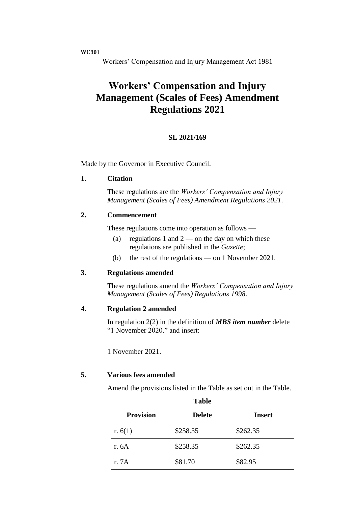**WC301**

Workers' Compensation and Injury Management Act 1981

# **Workers' Compensation and Injury Management (Scales of Fees) Amendment Regulations 2021**

## **SL 2021/169**

Made by the Governor in Executive Council.

#### **1. Citation**

These regulations are the *Workers' Compensation and Injury Management (Scales of Fees) Amendment Regulations 2021*.

## **2. Commencement**

These regulations come into operation as follows —

- (a) regulations 1 and  $2$  on the day on which these regulations are published in the *Gazette*;
- (b) the rest of the regulations on 1 November 2021.

### **3. Regulations amended**

These regulations amend the *Workers' Compensation and Injury Management (Scales of Fees) Regulations 1998*.

## **4. Regulation 2 amended**

In regulation 2(2) in the definition of *MBS item number* delete "1 November 2020." and insert:

1 November 2021.

### **5. Various fees amended**

Amend the provisions listed in the Table as set out in the Table.

| Tavit            |               |               |  |
|------------------|---------------|---------------|--|
| <b>Provision</b> | <b>Delete</b> | <b>Insert</b> |  |
| r. $6(1)$        | \$258.35      | \$262.35      |  |
| r. 6A            | \$258.35      | \$262.35      |  |
| r. 7A            | \$81.70       | \$82.95       |  |

**Table**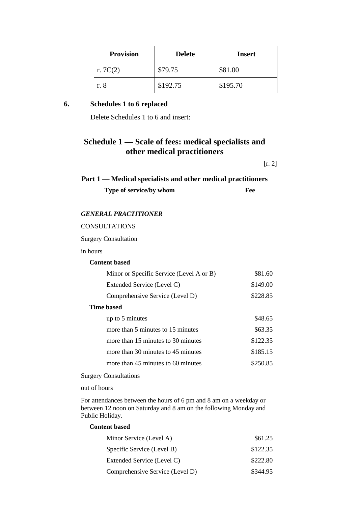| <b>Provision</b> | <b>Delete</b> | Insert   |
|------------------|---------------|----------|
| r. $7C(2)$       | \$79.75       | \$81.00  |
| r. 8             | \$192.75      | \$195.70 |

## **6. Schedules 1 to 6 replaced**

Delete Schedules 1 to 6 and insert:

## **Schedule 1 — Scale of fees: medical specialists and other medical practitioners**

[r. 2]

| Part 1 — Medical specialists and other medical practitioners |     |
|--------------------------------------------------------------|-----|
| Type of service/by whom                                      | Fee |

#### *GENERAL PRACTITIONER*

CONSULTATIONS

Surgery Consultation

in hours

### **Content based**

| Minor or Specific Service (Level A or B) | \$81.60  |
|------------------------------------------|----------|
| Extended Service (Level C)               | \$149.00 |
| Comprehensive Service (Level D)          | \$228.85 |
| Time based                               |          |
| up to 5 minutes                          | \$48.65  |
| more than 5 minutes to 15 minutes        | \$63.35  |
| more than 15 minutes to 30 minutes       | \$122.35 |
| more than 30 minutes to 45 minutes       | \$185.15 |
| more than 45 minutes to 60 minutes       | \$250.85 |

Surgery Consultations

out of hours

For attendances between the hours of 6 pm and 8 am on a weekday or between 12 noon on Saturday and 8 am on the following Monday and Public Holiday.

#### **Content based**

| Minor Service (Level A)         | \$61.25  |
|---------------------------------|----------|
| Specific Service (Level B)      | \$122.35 |
| Extended Service (Level C)      | \$222.80 |
| Comprehensive Service (Level D) | \$344.95 |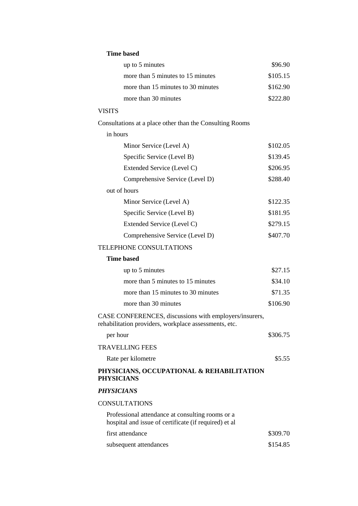### **Time based**

| up to 5 minutes                    | \$96.90  |
|------------------------------------|----------|
| more than 5 minutes to 15 minutes  | \$105.15 |
| more than 15 minutes to 30 minutes | \$162.90 |
| more than 30 minutes               | \$222.80 |

## VISITS

Consultations at a place other than the Consulting Rooms

#### in hours

| Minor Service (Level A)         | \$102.05 |
|---------------------------------|----------|
| Specific Service (Level B)      | \$139.45 |
| Extended Service (Level C)      | \$206.95 |
| Comprehensive Service (Level D) | \$288.40 |
| out of hours                    |          |
| Minor Service (Level A)         | \$122.35 |
| Specific Service (Level B)      | \$181.95 |
| Extended Service (Level C)      | \$279.15 |
| Comprehensive Service (Level D) | \$407.70 |
|                                 |          |

## TELEPHONE CONSULTATIONS

| Time based                         |          |
|------------------------------------|----------|
| up to 5 minutes                    | \$27.15  |
| more than 5 minutes to 15 minutes  | \$34.10  |
| more than 15 minutes to 30 minutes | \$71.35  |
| more than 30 minutes               | \$106.90 |
|                                    |          |

CASE CONFERENCES, discussions with employers/insurers, rehabilitation providers, workplace assessments, etc.

| TRAVELLING FEES<br>Rate per kilometre                          | \$5.55 |
|----------------------------------------------------------------|--------|
| PHYSICIANS, OCCUPATIONAL & REHABILITATION<br><b>PHYSICIANS</b> |        |

## *PHYSICIANS*

#### **CONSULTATIONS**

| Professional attendance at consulting rooms or a<br>hospital and issue of certificate (if required) et al |          |
|-----------------------------------------------------------------------------------------------------------|----------|
| first attendance                                                                                          | \$309.70 |
| subsequent attendances                                                                                    | \$154.85 |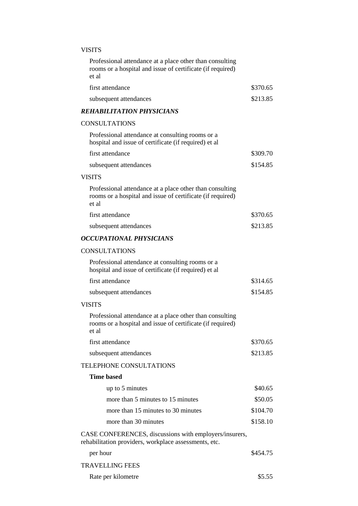## VISITS

| Professional attendance at a place other than consulting<br>rooms or a hospital and issue of certificate (if required)<br>et al |          |
|---------------------------------------------------------------------------------------------------------------------------------|----------|
| first attendance                                                                                                                | \$370.65 |
| subsequent attendances                                                                                                          | \$213.85 |
| <b>REHABILITATION PHYSICIANS</b>                                                                                                |          |
| <b>CONSULTATIONS</b>                                                                                                            |          |
| Professional attendance at consulting rooms or a<br>hospital and issue of certificate (if required) et al                       |          |
| first attendance                                                                                                                | \$309.70 |
| subsequent attendances                                                                                                          | \$154.85 |
| <b>VISITS</b>                                                                                                                   |          |
| Professional attendance at a place other than consulting<br>rooms or a hospital and issue of certificate (if required)<br>et al |          |
| first attendance                                                                                                                | \$370.65 |
| subsequent attendances                                                                                                          | \$213.85 |
| <b>OCCUPATIONAL PHYSICIANS</b>                                                                                                  |          |
| <b>CONSULTATIONS</b>                                                                                                            |          |
| Professional attendance at consulting rooms or a<br>hospital and issue of certificate (if required) et al                       |          |
| first attendance                                                                                                                | \$314.65 |
| subsequent attendances                                                                                                          | \$154.85 |
| <b>VISITS</b>                                                                                                                   |          |
| Professional attendance at a place other than consulting<br>rooms or a hospital and issue of certificate (if required)<br>et al |          |
| first attendance                                                                                                                | \$370.65 |
| subsequent attendances                                                                                                          | \$213.85 |
| <b>TELEPHONE CONSULTATIONS</b>                                                                                                  |          |
| <b>Time based</b>                                                                                                               |          |
| up to 5 minutes                                                                                                                 | \$40.65  |
| more than 5 minutes to 15 minutes                                                                                               | \$50.05  |
| more than 15 minutes to 30 minutes                                                                                              | \$104.70 |
| more than 30 minutes                                                                                                            | \$158.10 |
| CASE CONFERENCES, discussions with employers/insurers,<br>rehabilitation providers, workplace assessments, etc.                 |          |
| per hour                                                                                                                        | \$454.75 |
| <b>TRAVELLING FEES</b>                                                                                                          |          |
| Rate per kilometre                                                                                                              | \$5.55   |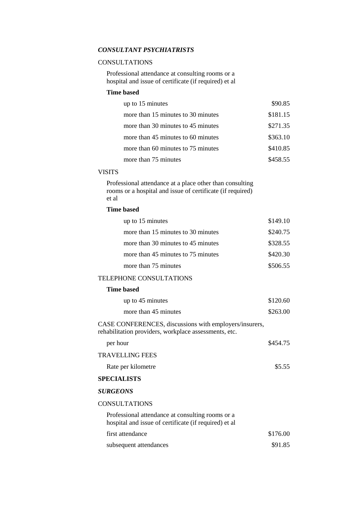## *CONSULTANT PSYCHIATRISTS*

#### **CONSULTATIONS**

Professional attendance at consulting rooms or a hospital and issue of certificate (if required) et al

#### **Time based**

| up to 15 minutes                   | \$90.85  |
|------------------------------------|----------|
| more than 15 minutes to 30 minutes | \$181.15 |
| more than 30 minutes to 45 minutes | \$271.35 |
| more than 45 minutes to 60 minutes | \$363.10 |
| more than 60 minutes to 75 minutes | \$410.85 |
| more than 75 minutes               | \$458.55 |

#### VISITS

Professional attendance at a place other than consulting rooms or a hospital and issue of certificate (if required) et al

### **Time based**

| up to 15 minutes                   | \$149.10 |
|------------------------------------|----------|
| more than 15 minutes to 30 minutes | \$240.75 |
| more than 30 minutes to 45 minutes | \$328.55 |
| more than 45 minutes to 75 minutes | \$420.30 |
| more than 75 minutes               | \$506.55 |

#### TELEPHONE CONSULTATIONS

#### **Time based**

| up to 45 minutes     | \$120.60 |
|----------------------|----------|
| more than 45 minutes | \$263.00 |

CASE CONFERENCES, discussions with employers/insurers, rehabilitation providers, workplace assessments, etc.

| per hour           | \$454.75 |
|--------------------|----------|
| TRAVELLING FEES    |          |
| Rate per kilometre | \$5.55   |

### **SPECIALISTS**

#### *SURGEONS*

#### **CONSULTATIONS**

| Professional attendance at consulting rooms or a<br>hospital and issue of certificate (if required) et al |          |
|-----------------------------------------------------------------------------------------------------------|----------|
| first attendance                                                                                          | \$176.00 |
| subsequent attendances                                                                                    | \$91.85  |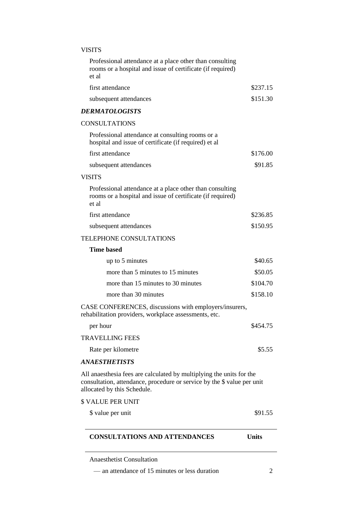## VISITS

| <b>CONSULTATIONS AND ATTENDANCES</b>                                                                                                                                           | <b>Units</b> |
|--------------------------------------------------------------------------------------------------------------------------------------------------------------------------------|--------------|
| \$ value per unit                                                                                                                                                              | \$91.55      |
| <b>\$ VALUE PER UNIT</b>                                                                                                                                                       |              |
| All anaesthesia fees are calculated by multiplying the units for the<br>consultation, attendance, procedure or service by the \$ value per unit<br>allocated by this Schedule. |              |
| ANAESTHETISTS                                                                                                                                                                  |              |
| Rate per kilometre                                                                                                                                                             | \$5.55       |
| <b>TRAVELLING FEES</b>                                                                                                                                                         |              |
| per hour                                                                                                                                                                       | \$454.75     |
| CASE CONFERENCES, discussions with employers/insurers,<br>rehabilitation providers, workplace assessments, etc.                                                                |              |
| more than 30 minutes                                                                                                                                                           | \$158.10     |
| more than 15 minutes to 30 minutes                                                                                                                                             | \$104.70     |
| more than 5 minutes to 15 minutes                                                                                                                                              | \$50.05      |
| up to 5 minutes                                                                                                                                                                | \$40.65      |
| <b>Time based</b>                                                                                                                                                              |              |
| <b>TELEPHONE CONSULTATIONS</b>                                                                                                                                                 |              |
| subsequent attendances                                                                                                                                                         | \$150.95     |
| first attendance                                                                                                                                                               | \$236.85     |
| Professional attendance at a place other than consulting<br>rooms or a hospital and issue of certificate (if required)<br>et al                                                |              |
| <b>VISITS</b>                                                                                                                                                                  |              |
| subsequent attendances                                                                                                                                                         | \$91.85      |
| first attendance                                                                                                                                                               | \$176.00     |
| Professional attendance at consulting rooms or a<br>hospital and issue of certificate (if required) et al                                                                      |              |
| <b>CONSULTATIONS</b>                                                                                                                                                           |              |
| <b>DERMATOLOGISTS</b>                                                                                                                                                          |              |
| subsequent attendances                                                                                                                                                         | \$151.30     |
| first attendance                                                                                                                                                               | \$237.15     |
| rooms or a hospital and issue of certificate (if required)<br>et al                                                                                                            |              |

— an attendance of 15 minutes or less duration 2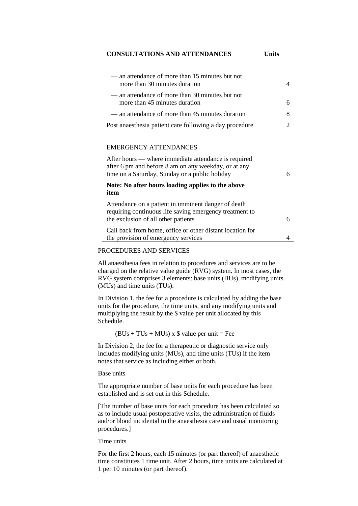#### **CONSULTATIONS AND ATTENDANCES Units**

| — an attendance of more than 15 minutes but not<br>more than 30 minutes duration                                                                               | 4                           |
|----------------------------------------------------------------------------------------------------------------------------------------------------------------|-----------------------------|
| — an attendance of more than 30 minutes but not<br>more than 45 minutes duration                                                                               | 6                           |
| — an attendance of more than 45 minutes duration                                                                                                               | 8                           |
| Post anaesthesia patient care following a day procedure                                                                                                        | $\mathcal{D}_{\mathcal{L}}$ |
| <b>EMERGENCY ATTENDANCES</b>                                                                                                                                   |                             |
| After hours — where immediate attendance is required<br>after 6 pm and before 8 am on any weekday, or at any<br>time on a Saturday, Sunday or a public holiday | 6                           |
| Note: No after hours loading applies to the above<br>item                                                                                                      |                             |
| Attendance on a patient in imminent danger of death<br>requiring continuous life saving emergency treatment to<br>the exclusion of all other patients          | 6                           |
| Call back from home, office or other distant location for<br>the provision of emergency services                                                               | 4                           |

#### PROCEDURES AND SERVICES

All anaesthesia fees in relation to procedures and services are to be charged on the relative value guide (RVG) system. In most cases, the RVG system comprises 3 elements: base units (BUs), modifying units (MUs) and time units (TUs).

In Division 1, the fee for a procedure is calculated by adding the base units for the procedure, the time units, and any modifying units and multiplying the result by the \$ value per unit allocated by this Schedule.

 $(BUs + TUs + MUs)$  x  $$$  value per unit = Fee

In Division 2, the fee for a therapeutic or diagnostic service only includes modifying units (MUs), and time units (TUs) if the item notes that service as including either or both.

#### Base units

The appropriate number of base units for each procedure has been established and is set out in this Schedule.

[The number of base units for each procedure has been calculated so as to include usual postoperative visits, the administration of fluids and/or blood incidental to the anaesthesia care and usual monitoring procedures.]

#### Time units

For the first 2 hours, each 15 minutes (or part thereof) of anaesthetic time constitutes 1 time unit. After 2 hours, time units are calculated at 1 per 10 minutes (or part thereof).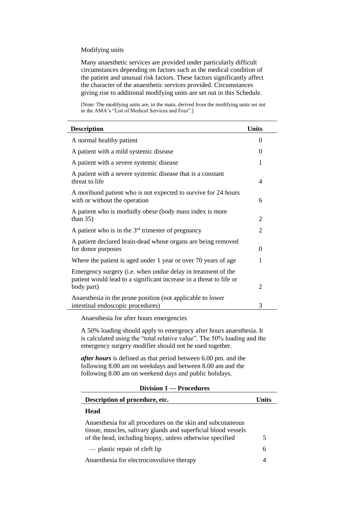#### Modifying units

Many anaesthetic services are provided under particularly difficult circumstances depending on factors such as the medical condition of the patient and unusual risk factors. These factors significantly affect the character of the anaesthetic services provided. Circumstances giving rise to additional modifying units are set out in this Schedule.

[Note: The modifying units are, in the main, derived from the modifying units set out in the AMA's "List of Medical Services and Fees".]

| <b>Description</b>                                                                                                                                | <b>Units</b>                |
|---------------------------------------------------------------------------------------------------------------------------------------------------|-----------------------------|
| A normal healthy patient                                                                                                                          | 0                           |
| A patient with a mild systemic disease                                                                                                            | 0                           |
| A patient with a severe systemic disease                                                                                                          | 1                           |
| A patient with a severe systemic disease that is a constant<br>threat to life                                                                     | 4                           |
| A moribund patient who is not expected to survive for 24 hours<br>with or without the operation                                                   | 6                           |
| A patient who is morbidly obese (body mass index is more<br>than $35$ )                                                                           | 2                           |
| A patient who is in the $3rd$ trimester of pregnancy                                                                                              | 2                           |
| A patient declared brain-dead whose organs are being removed<br>for donor purposes                                                                | 0                           |
| Where the patient is aged under 1 year or over 70 years of age                                                                                    | 1                           |
| Emergency surgery (i.e. when undue delay in treatment of the<br>patient would lead to a significant increase in a threat to life or<br>body part) | $\mathcal{D}_{\mathcal{L}}$ |
| Anaesthesia in the prone position (not applicable to lower<br>intestinal endoscopic procedures)                                                   | 3                           |

Anaesthesia for after hours emergencies

A 50% loading should apply to emergency after hours anaesthesia. It is calculated using the "total relative value". The 50% loading and the emergency surgery modifier should not be used together.

*after hours* is defined as that period between 6.00 pm. and the following 8.00 am on weekdays and between 8.00 am and the following 8.00 am on weekend days and public holidays.

| Description of procedure, etc.                                                                                                                                                             | l Inite |
|--------------------------------------------------------------------------------------------------------------------------------------------------------------------------------------------|---------|
| Head                                                                                                                                                                                       |         |
| Anaesthesia for all procedures on the skin and subcutaneous<br>tissue, muscles, salivary glands and superficial blood vessels<br>of the head, including biopsy, unless otherwise specified |         |
| — plastic repair of cleft lip                                                                                                                                                              | 6       |
| Anaesthesia for electroconvulsive therapy                                                                                                                                                  |         |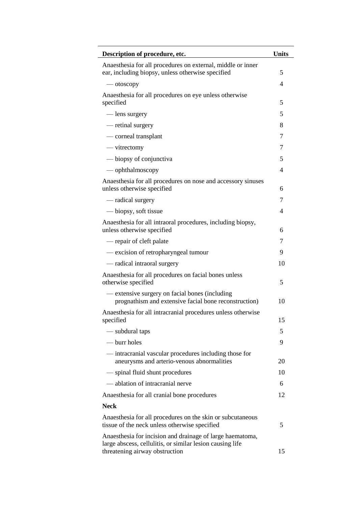| Description of procedure, etc.                                                                                         | <b>Units</b> |
|------------------------------------------------------------------------------------------------------------------------|--------------|
| Anaesthesia for all procedures on external, middle or inner<br>ear, including biopsy, unless otherwise specified       | 5            |
| — otoscopy                                                                                                             | 4            |
| Anaesthesia for all procedures on eye unless otherwise<br>specified                                                    | 5            |
| — lens surgery                                                                                                         | 5            |
| — retinal surgery                                                                                                      | 8            |
| — corneal transplant                                                                                                   | 7            |
| — vitrectomy                                                                                                           | 7            |
| — biopsy of conjunctiva                                                                                                | 5            |
| — ophthalmoscopy                                                                                                       | 4            |
| Anaesthesia for all procedures on nose and accessory sinuses<br>unless otherwise specified                             | 6            |
| — radical surgery                                                                                                      | 7            |
| — biopsy, soft tissue                                                                                                  | 4            |
| Anaesthesia for all intraoral procedures, including biopsy,<br>unless otherwise specified                              | 6            |
| — repair of cleft palate                                                                                               | 7            |
| - excision of retropharyngeal tumour                                                                                   | 9            |
| — radical intraoral surgery                                                                                            | 10           |
| Anaesthesia for all procedures on facial bones unless<br>otherwise specified                                           | 5            |
| — extensive surgery on facial bones (including<br>prognathism and extensive facial bone reconstruction)                | 10           |
| Anaesthesia for all intracranial procedures unless otherwise<br>specified                                              | 15           |
| — subdural taps                                                                                                        | 5            |
| — burr holes                                                                                                           | 9            |
| — intracranial vascular procedures including those for<br>aneurysms and arterio-venous abnormalities                   | 20           |
| — spinal fluid shunt procedures                                                                                        | 10           |
| — ablation of intracranial nerve                                                                                       | 6            |
| Anaesthesia for all cranial bone procedures                                                                            | 12           |
| <b>Neck</b>                                                                                                            |              |
| Anaesthesia for all procedures on the skin or subcutaneous<br>tissue of the neck unless otherwise specified            | 5            |
| Anaesthesia for incision and drainage of large haematoma,<br>large abscess, cellulitis, or similar lesion causing life |              |
| threatening airway obstruction                                                                                         | 15           |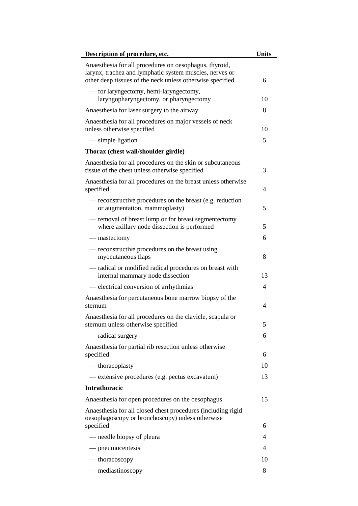| Description of procedure, etc.                                                                                                                                                 | <b>Units</b>   |
|--------------------------------------------------------------------------------------------------------------------------------------------------------------------------------|----------------|
| Anaesthesia for all procedures on oesophagus, thyroid,<br>larynx, trachea and lymphatic system muscles, nerves or<br>other deep tissues of the neck unless otherwise specified | 6              |
| — for laryngectomy, hemi-laryngectomy,<br>laryngopharyngectomy, or pharyngectomy                                                                                               | 10             |
| Anaesthesia for laser surgery to the airway                                                                                                                                    | 8              |
| Anaesthesia for all procedures on major vessels of neck<br>unless otherwise specified                                                                                          | 10             |
| — simple ligation                                                                                                                                                              | 5              |
| Thorax (chest wall/shoulder girdle)                                                                                                                                            |                |
| Anaesthesia for all procedures on the skin or subcutaneous<br>tissue of the chest unless otherwise specified                                                                   | 3              |
| Anaesthesia for all procedures on the breast unless otherwise<br>specified                                                                                                     | 4              |
| — reconstructive procedures on the breast (e.g. reduction<br>or augmentation, mammoplasty)                                                                                     | 5              |
| - removal of breast lump or for breast segmentectomy<br>where axillary node dissection is performed                                                                            | 5              |
| — mastectomy                                                                                                                                                                   | 6              |
| — reconstructive procedures on the breast using<br>myocutaneous flaps                                                                                                          | 8              |
| — radical or modified radical procedures on breast with<br>internal mammary node dissection                                                                                    | 13             |
| — electrical conversion of arrhythmias                                                                                                                                         | $\overline{4}$ |
| Anaesthesia for percutaneous bone marrow biopsy of the<br>sternum                                                                                                              | 4              |
| Anaesthesia for all procedures on the clavicle, scapula or<br>sternum unless otherwise specified                                                                               | 5              |
| — radical surgery                                                                                                                                                              | 6              |
| Anaesthesia for partial rib resection unless otherwise<br>specified                                                                                                            | 6              |
| $-$ thoracoplasty                                                                                                                                                              | 10             |
| — extensive procedures (e.g. pectus excavatum)                                                                                                                                 | 13             |
| <b>Intrathoracic</b>                                                                                                                                                           |                |
| Anaesthesia for open procedures on the oesophagus                                                                                                                              | 15             |
| Anaesthesia for all closed chest procedures (including rigid<br>oesophagoscopy or bronchoscopy) unless otherwise<br>specified                                                  | 6              |
| — needle biopsy of pleura                                                                                                                                                      | 4              |
| — pneumocentesis                                                                                                                                                               | 4              |
| — thoracoscopy                                                                                                                                                                 | 10             |
| — mediastinoscopy                                                                                                                                                              | 8              |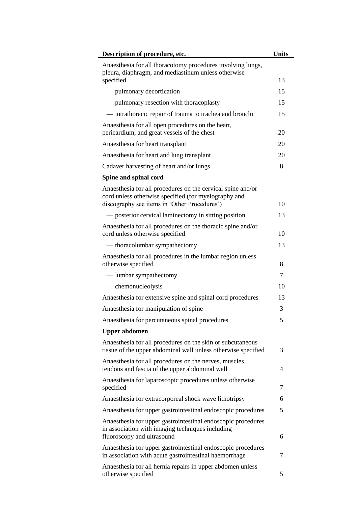| Description of procedure, etc.                                                                                                                                      | <b>Units</b> |
|---------------------------------------------------------------------------------------------------------------------------------------------------------------------|--------------|
| Anaesthesia for all thoracotomy procedures involving lungs,<br>pleura, diaphragm, and mediastinum unless otherwise                                                  |              |
| specified                                                                                                                                                           | 13           |
| — pulmonary decortication                                                                                                                                           | 15           |
| — pulmonary resection with thoracoplasty                                                                                                                            | 15           |
| - intrathoracic repair of trauma to trachea and bronchi                                                                                                             | 15           |
| Anaesthesia for all open procedures on the heart,<br>pericardium, and great vessels of the chest                                                                    | 20           |
| Anaesthesia for heart transplant                                                                                                                                    | 20           |
| Anaesthesia for heart and lung transplant                                                                                                                           | 20           |
| Cadaver harvesting of heart and/or lungs                                                                                                                            | 8            |
| Spine and spinal cord                                                                                                                                               |              |
| Anaesthesia for all procedures on the cervical spine and/or<br>cord unless otherwise specified (for myelography and<br>discography see items in 'Other Procedures') | 10           |
| — posterior cervical laminectomy in sitting position                                                                                                                | 13           |
| Anaesthesia for all procedures on the thoracic spine and/or<br>cord unless otherwise specified                                                                      | 10           |
| — thoracolumbar sympathectomy                                                                                                                                       | 13           |
| Anaesthesia for all procedures in the lumbar region unless<br>otherwise specified                                                                                   | 8            |
| — lumbar sympathectomy                                                                                                                                              | 7            |
| — chemonucleolysis                                                                                                                                                  | 10           |
| Anaesthesia for extensive spine and spinal cord procedures                                                                                                          | 13           |
| Anaesthesia for manipulation of spine                                                                                                                               | 3            |
| Anaesthesia for percutaneous spinal procedures                                                                                                                      | 5            |
| <b>Upper abdomen</b>                                                                                                                                                |              |
| Anaesthesia for all procedures on the skin or subcutaneous<br>tissue of the upper abdominal wall unless otherwise specified                                         | 3            |
| Anaesthesia for all procedures on the nerves, muscles,<br>tendons and fascia of the upper abdominal wall                                                            | 4            |
| Anaesthesia for laparoscopic procedures unless otherwise<br>specified                                                                                               | 7            |
| Anaesthesia for extracorporeal shock wave lithotripsy                                                                                                               | 6            |
| Anaesthesia for upper gastrointestinal endoscopic procedures                                                                                                        | 5            |
| Anaesthesia for upper gastrointestinal endoscopic procedures<br>in association with imaging techniques including<br>fluoroscopy and ultrasound                      | 6            |
| Anaesthesia for upper gastrointestinal endoscopic procedures<br>in association with acute gastrointestinal haemorrhage                                              | 7            |
| Anaesthesia for all hernia repairs in upper abdomen unless<br>otherwise specified                                                                                   | 5            |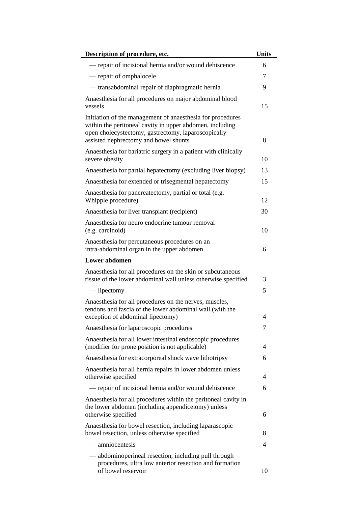| Description of procedure, etc.                                                                                                                                                                                         | <b>Units</b> |
|------------------------------------------------------------------------------------------------------------------------------------------------------------------------------------------------------------------------|--------------|
| — repair of incisional hernia and/or wound dehiscence                                                                                                                                                                  | 6            |
| — repair of omphalocele                                                                                                                                                                                                | 7            |
| - transabdominal repair of diaphragmatic hernia                                                                                                                                                                        | 9            |
| Anaesthesia for all procedures on major abdominal blood<br>vessels                                                                                                                                                     | 15           |
| Initiation of the management of anaesthesia for procedures<br>within the peritoneal cavity in upper abdomen, including<br>open cholecystectomy, gastrectomy, laparoscopically<br>assisted nephrectomy and bowel shunts | 8            |
| Anaesthesia for bariatric surgery in a patient with clinically<br>severe obesity                                                                                                                                       | 10           |
| Anaesthesia for partial hepatectomy (excluding liver biopsy)                                                                                                                                                           | 13           |
| Anaesthesia for extended or trisegmental hepatectomy                                                                                                                                                                   | 15           |
| Anaesthesia for pancreatectomy, partial or total (e.g.<br>Whipple procedure)                                                                                                                                           | 12           |
| Anaesthesia for liver transplant (recipient)                                                                                                                                                                           | 30           |
| Anaesthesia for neuro endocrine tumour removal<br>(e.g. carcinoid)                                                                                                                                                     | 10           |
| Anaesthesia for percutaneous procedures on an<br>intra-abdominal organ in the upper abdomen                                                                                                                            | 6            |
| <b>Lower</b> abdomen                                                                                                                                                                                                   |              |
| Anaesthesia for all procedures on the skin or subcutaneous<br>tissue of the lower abdominal wall unless otherwise specified                                                                                            | 3            |
| — lipectomy                                                                                                                                                                                                            | 5            |
| Anaesthesia for all procedures on the nerves, muscles,<br>tendons and fascia of the lower abdominal wall (with the<br>exception of abdominal lipectomy)                                                                | 4            |
| Anaesthesia for laparoscopic procedures                                                                                                                                                                                | 7            |
| Anaesthesia for all lower intestinal endoscopic procedures<br>(modifier for prone position is not applicable)                                                                                                          | 4            |
| Anaesthesia for extracorporeal shock wave lithotripsy                                                                                                                                                                  | 6            |
| Anaesthesia for all hernia repairs in lower abdomen unless<br>otherwise specified                                                                                                                                      | 4            |
| — repair of incisional hernia and/or wound dehiscence                                                                                                                                                                  | 6            |
| Anaesthesia for all procedures within the peritoneal cavity in<br>the lower abdomen (including appendicetomy) unless<br>otherwise specified                                                                            | 6            |
| Anaesthesia for bowel resection, including laparascopic<br>bowel resection, unless otherwise specified                                                                                                                 | 8            |
| — amniocentesis                                                                                                                                                                                                        | 4            |
| — abdominoperineal resection, including pull through                                                                                                                                                                   |              |
| procedures, ultra low anterior resection and formation<br>of bowel reservoir                                                                                                                                           | 10           |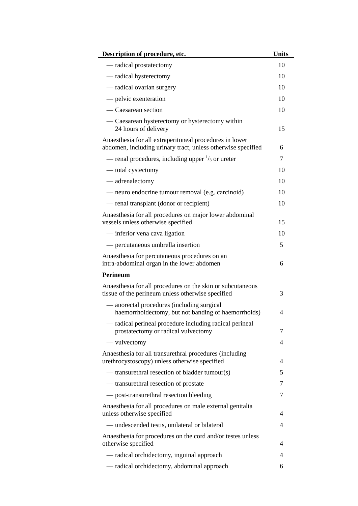| Description of procedure, etc.                                                                                          | <b>Units</b> |
|-------------------------------------------------------------------------------------------------------------------------|--------------|
| — radical prostatectomy                                                                                                 | 10           |
| — radical hysterectomy                                                                                                  | 10           |
| — radical ovarian surgery                                                                                               | 10           |
| — pelvic exenteration                                                                                                   | 10           |
| — Caesarean section                                                                                                     | 10           |
| — Caesarean hysterectomy or hysterectomy within<br>24 hours of delivery                                                 | 15           |
| Anaesthesia for all extraperitoneal procedures in lower<br>abdomen, including urinary tract, unless otherwise specified | 6            |
| — renal procedures, including upper $\frac{1}{3}$ or ureter                                                             | 7            |
| — total cystectomy                                                                                                      | 10           |
| — adrenalectomy                                                                                                         | 10           |
| — neuro endocrine tumour removal (e.g. carcinoid)                                                                       | 10           |
| — renal transplant (donor or recipient)                                                                                 | 10           |
| Anaesthesia for all procedures on major lower abdominal<br>vessels unless otherwise specified                           | 15           |
| — inferior vena cava ligation                                                                                           | 10           |
| - percutaneous umbrella insertion                                                                                       | 5            |
| Anaesthesia for percutaneous procedures on an<br>intra-abdominal organ in the lower abdomen                             | 6            |
| <b>Perineum</b>                                                                                                         |              |
| Anaesthesia for all procedures on the skin or subcutaneous<br>tissue of the perineum unless otherwise specified         | 3            |
| - anorectal procedures (including surgical<br>haemorrhoidectomy, but not banding of haemorrhoids)                       | 4            |
| — radical perineal procedure including radical perineal<br>prostatectomy or radical vulvectomy                          | 7            |
| — vulvectomy                                                                                                            | 4            |
| Anaesthesia for all transurethral procedures (including<br>urethrocystoscopy) unless otherwise specified                | 4            |
| — transurethral resection of bladder tumour(s)                                                                          | 5            |
| — transurethral resection of prostate                                                                                   | 7            |
| — post-transurethral resection bleeding                                                                                 | 7            |
| Anaesthesia for all procedures on male external genitalia<br>unless otherwise specified                                 | 4            |
| — undescended testis, unilateral or bilateral                                                                           | 4            |
| Anaesthesia for procedures on the cord and/or testes unless<br>otherwise specified                                      | 4            |
| — radical orchidectomy, inguinal approach                                                                               | 4            |
| — radical orchidectomy, abdominal approach                                                                              | 6            |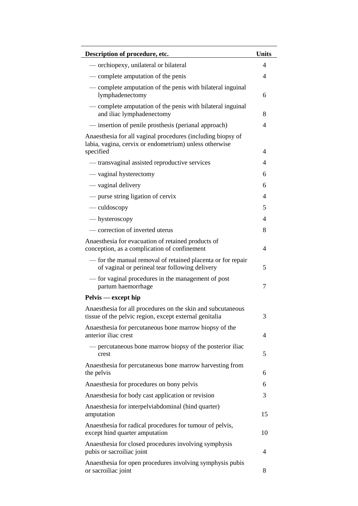| Description of procedure, etc.                                                                                                     | <b>Units</b> |
|------------------------------------------------------------------------------------------------------------------------------------|--------------|
| — orchiopexy, unilateral or bilateral                                                                                              | 4            |
| — complete amputation of the penis                                                                                                 | 4            |
| — complete amputation of the penis with bilateral inguinal<br>lymphadenectomy                                                      | 6            |
| — complete amputation of the penis with bilateral inguinal<br>and iliac lymphadenectomy                                            | 8            |
| — insertion of penile prosthesis (perianal approach)                                                                               | 4            |
| Anaesthesia for all vaginal procedures (including biopsy of<br>labia, vagina, cervix or endometrium) unless otherwise<br>specified | 4            |
| — transvaginal assisted reproductive services                                                                                      | 4            |
| — vaginal hysterectomy                                                                                                             | 6            |
| — vaginal delivery                                                                                                                 | 6            |
| — purse string ligation of cervix                                                                                                  | 4            |
| — culdoscopy                                                                                                                       | 5            |
| — hysteroscopy                                                                                                                     | 4            |
| — correction of inverted uterus                                                                                                    | 8            |
| Anaesthesia for evacuation of retained products of<br>conception, as a complication of confinement                                 | 4            |
| - for the manual removal of retained placenta or for repair<br>of vaginal or perineal tear following delivery                      | 5            |
| — for vaginal procedures in the management of post<br>partum haemorrhage                                                           | 7            |
| Pelvis — except hip                                                                                                                |              |
| Anaesthesia for all procedures on the skin and subcutaneous<br>tissue of the pelvic region, except external genitalia              | 3            |
| Anaesthesia for percutaneous bone marrow biopsy of the<br>anterior iliac crest                                                     | 4            |
| — percutaneous bone marrow biopsy of the posterior iliac<br>crest                                                                  | 5            |
| Anaesthesia for percutaneous bone marrow harvesting from<br>the pelvis                                                             | 6            |
| Anaesthesia for procedures on bony pelvis                                                                                          | 6            |
| Anaesthesia for body cast application or revision                                                                                  | 3            |
| Anaesthesia for interpelviabdominal (hind quarter)<br>amputation                                                                   | 15           |
| Anaesthesia for radical procedures for tumour of pelvis,<br>except hind quarter amputation                                         | 10           |
| Anaesthesia for closed procedures involving symphysis<br>pubis or sacroiliac joint                                                 | 4            |
| Anaesthesia for open procedures involving symphysis pubis<br>or sacroiliac joint                                                   | 8            |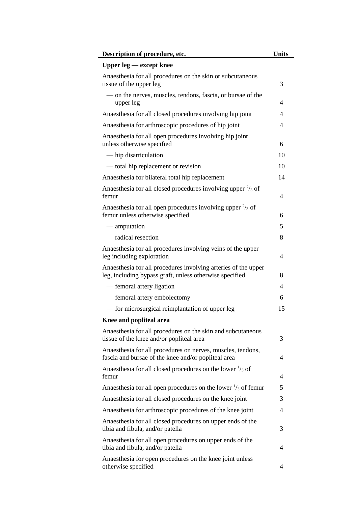| Description of procedure, etc.                                                                                            | <b>Units</b>             |
|---------------------------------------------------------------------------------------------------------------------------|--------------------------|
| Upper $leg$ $-$ except knee                                                                                               |                          |
| Anaesthesia for all procedures on the skin or subcutaneous<br>tissue of the upper leg                                     | 3                        |
| — on the nerves, muscles, tendons, fascia, or bursae of the<br>upper leg                                                  | 4                        |
| Anaesthesia for all closed procedures involving hip joint                                                                 | $\overline{\mathcal{A}}$ |
| Anaesthesia for arthroscopic procedures of hip joint                                                                      | 4                        |
| Anaesthesia for all open procedures involving hip joint<br>unless otherwise specified                                     | 6                        |
| — hip disarticulation                                                                                                     | 10                       |
| — total hip replacement or revision                                                                                       | 10                       |
| Anaesthesia for bilateral total hip replacement                                                                           | 14                       |
| Anaesthesia for all closed procedures involving upper $\frac{2}{3}$ of<br>femur                                           | 4                        |
| Anaesthesia for all open procedures involving upper $\frac{2}{3}$ of<br>femur unless otherwise specified                  | 6                        |
| — amputation                                                                                                              | 5                        |
| — radical resection                                                                                                       | 8                        |
| Anaesthesia for all procedures involving veins of the upper<br>leg including exploration                                  | $\overline{\mathcal{A}}$ |
| Anaesthesia for all procedures involving arteries of the upper<br>leg, including bypass graft, unless otherwise specified | 8                        |
| — femoral artery ligation                                                                                                 | 4                        |
| - femoral artery embolectomy                                                                                              | 6                        |
| — for microsurgical reimplantation of upper leg                                                                           | 15                       |
| Knee and popliteal area                                                                                                   |                          |
| Anaesthesia for all procedures on the skin and subcutaneous<br>tissue of the knee and/or popliteal area                   | 3                        |
| Anaesthesia for all procedures on nerves, muscles, tendons,<br>fascia and bursae of the knee and/or popliteal area        | 4                        |
| Anaesthesia for all closed procedures on the lower $\frac{1}{3}$ of<br>femur                                              | 4                        |
| Anaesthesia for all open procedures on the lower $\frac{1}{3}$ of femur                                                   | 5                        |
| Anaesthesia for all closed procedures on the knee joint                                                                   | 3                        |
| Anaesthesia for arthroscopic procedures of the knee joint                                                                 | $\overline{\mathcal{A}}$ |
| Anaesthesia for all closed procedures on upper ends of the<br>tibia and fibula, and/or patella                            | 3                        |
| Anaesthesia for all open procedures on upper ends of the<br>tibia and fibula, and/or patella                              | 4                        |
| Anaesthesia for open procedures on the knee joint unless<br>otherwise specified                                           | 4                        |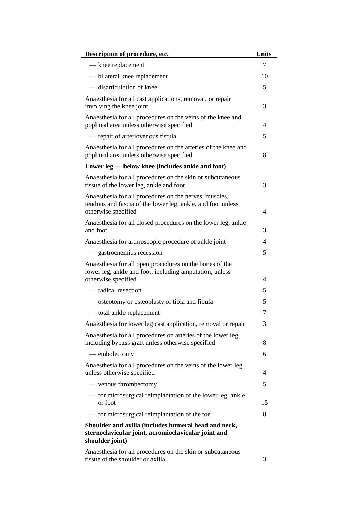| Description of procedure, etc.                                                                                                               | <b>Units</b> |
|----------------------------------------------------------------------------------------------------------------------------------------------|--------------|
| - knee replacement                                                                                                                           | 7            |
| — bilateral knee replacement                                                                                                                 | 10           |
| — disarticulation of knee                                                                                                                    | 5            |
| Anaesthesia for all cast applications, removal, or repair<br>involving the knee joint                                                        | 3            |
| Anaesthesia for all procedures on the veins of the knee and<br>popliteal area unless otherwise specified                                     | 4            |
| — repair of arteriovenous fistula                                                                                                            | 5            |
| Anaesthesia for all procedures on the arteries of the knee and<br>popliteal area unless otherwise specified                                  | 8            |
| Lower leg — below knee (includes ankle and foot)                                                                                             |              |
| Anaesthesia for all procedures on the skin or subcutaneous<br>tissue of the lower leg, ankle and foot                                        | 3            |
| Anaesthesia for all procedures on the nerves, muscles,<br>tendons and fascia of the lower leg, ankle, and foot unless<br>otherwise specified | 4            |
| Anaesthesia for all closed procedures on the lower leg, ankle<br>and foot                                                                    | 3            |
| Anaesthesia for arthroscopic procedure of ankle joint                                                                                        | 4            |
| — gastrocnemius recession                                                                                                                    | 5            |
| Anaesthesia for all open procedures on the bones of the<br>lower leg, ankle and foot, including amputation, unless<br>otherwise specified    | 4            |
| — radical resection                                                                                                                          | 5            |
| — osteotomy or osteoplasty of tibia and fibula                                                                                               | 5            |
| — total ankle replacement                                                                                                                    | 7            |
| Anaesthesia for lower leg cast application, removal or repair                                                                                | 3            |
| Anaesthesia for all procedures on arteries of the lower leg,<br>including bypass graft unless otherwise specified                            | 8            |
| — embolectomy                                                                                                                                | 6            |
| Anaesthesia for all procedures on the veins of the lower leg<br>unless otherwise specified                                                   | 4            |
| — venous thrombectomy                                                                                                                        | 5            |
| — for microsurgical reimplantation of the lower leg, ankle<br>or foot                                                                        | 15           |
| — for microsurgical reimplantation of the toe                                                                                                | 8            |
| Shoulder and axilla (includes humeral head and neck,<br>sternoclavicular joint, acromioclavicular joint and<br>shoulder joint)               |              |
| Anaesthesia for all procedures on the skin or subcutaneous<br>tissue of the shoulder or axilla                                               | 3            |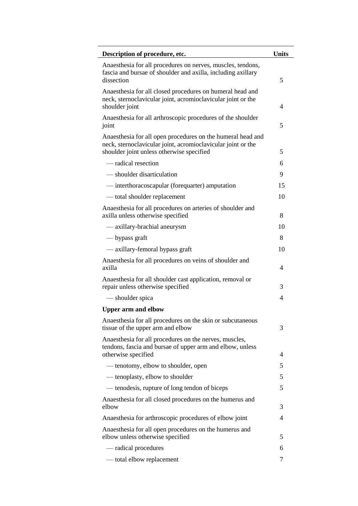| Description of procedure, etc.                                                                                                                                           | <b>Units</b> |
|--------------------------------------------------------------------------------------------------------------------------------------------------------------------------|--------------|
| Anaesthesia for all procedures on nerves, muscles, tendons,<br>fascia and bursae of shoulder and axilla, including axillary<br>dissection                                | 5            |
| Anaesthesia for all closed procedures on humeral head and<br>neck, sternoclavicular joint, acromioclavicular joint or the<br>shoulder joint                              | 4            |
| Anaesthesia for all arthroscopic procedures of the shoulder<br>joint                                                                                                     | 5            |
| Anaesthesia for all open procedures on the humeral head and<br>neck, sternoclavicular joint, acromioclavicular joint or the<br>shoulder joint unless otherwise specified | 5            |
| — radical resection                                                                                                                                                      | 6            |
| - shoulder disarticulation                                                                                                                                               | 9            |
| - interthoracoscapular (forequarter) amputation                                                                                                                          | 15           |
| - total shoulder replacement                                                                                                                                             | 10           |
| Anaesthesia for all procedures on arteries of shoulder and<br>axilla unless otherwise specified                                                                          | 8            |
| — axillary-brachial aneurysm                                                                                                                                             | 10           |
| — bypass graft                                                                                                                                                           | 8            |
| — axillary-femoral bypass graft                                                                                                                                          | 10           |
| Anaesthesia for all procedures on veins of shoulder and<br>axilla                                                                                                        | 4            |
| Anaesthesia for all shoulder cast application, removal or<br>repair unless otherwise specified                                                                           | 3            |
| — shoulder spica                                                                                                                                                         | 4            |
| <b>Upper arm and elbow</b>                                                                                                                                               |              |
| Anaesthesia for all procedures on the skin or subcutaneous<br>tissue of the upper arm and elbow                                                                          | 3            |
| Anaesthesia for all procedures on the nerves, muscles,<br>tendons, fascia and bursae of upper arm and elbow, unless<br>otherwise specified                               | 4            |
| — tenotomy, elbow to shoulder, open                                                                                                                                      | 5            |
| — tenoplasty, elbow to shoulder                                                                                                                                          | 5            |
| — tenodesis, rupture of long tendon of biceps                                                                                                                            | 5            |
| Anaesthesia for all closed procedures on the humerus and                                                                                                                 |              |
| elbow                                                                                                                                                                    | 3            |
| Anaesthesia for arthroscopic procedures of elbow joint                                                                                                                   | 4            |
| Anaesthesia for all open procedures on the humerus and<br>elbow unless otherwise specified                                                                               | 5            |
| — radical procedures                                                                                                                                                     | 6            |
| — total elbow replacement                                                                                                                                                | 7            |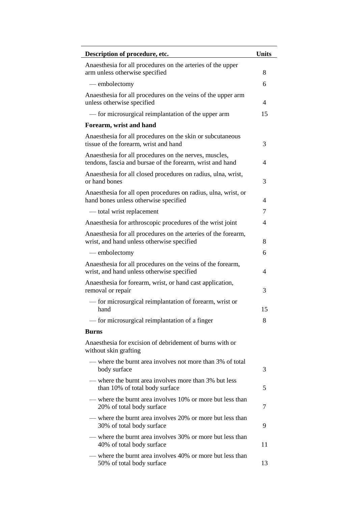| Description of procedure, etc.                                                                                      | <b>Units</b> |
|---------------------------------------------------------------------------------------------------------------------|--------------|
| Anaesthesia for all procedures on the arteries of the upper<br>arm unless otherwise specified                       | 8            |
| — embolectomy                                                                                                       | 6            |
| Anaesthesia for all procedures on the veins of the upper arm<br>unless otherwise specified                          | 4            |
| — for microsurgical reimplantation of the upper arm                                                                 | 15           |
| Forearm, wrist and hand                                                                                             |              |
| Anaesthesia for all procedures on the skin or subcutaneous<br>tissue of the forearm, wrist and hand                 | 3            |
| Anaesthesia for all procedures on the nerves, muscles,<br>tendons, fascia and bursae of the forearm, wrist and hand | 4            |
| Anaesthesia for all closed procedures on radius, ulna, wrist,<br>or hand bones                                      | 3            |
| Anaesthesia for all open procedures on radius, ulna, wrist, or<br>hand bones unless otherwise specified             | 4            |
| - total wrist replacement                                                                                           | 7            |
| Anaesthesia for arthroscopic procedures of the wrist joint                                                          | 4            |
| Anaesthesia for all procedures on the arteries of the forearm,<br>wrist, and hand unless otherwise specified        | 8            |
| — embolectomy                                                                                                       | 6            |
| Anaesthesia for all procedures on the veins of the forearm,<br>wrist, and hand unless otherwise specified           | 4            |
| Anaesthesia for forearm, wrist, or hand cast application,<br>removal or repair                                      | 3            |
| - for microsurgical reimplantation of forearm, wrist or<br>hand                                                     | 15           |
| — for microsurgical reimplantation of a finger                                                                      | 8            |
| <b>Burns</b>                                                                                                        |              |
| Anaesthesia for excision of debridement of burns with or<br>without skin grafting                                   |              |
| — where the burnt area involves not more than 3% of total<br>body surface                                           | 3            |
| — where the burnt area involves more than 3% but less<br>than 10% of total body surface                             | 5            |
| - where the burnt area involves 10% or more but less than<br>20% of total body surface                              | 7            |
| — where the burnt area involves 20% or more but less than<br>30% of total body surface                              | 9            |
| — where the burnt area involves 30% or more but less than<br>40% of total body surface                              | 11           |
| — where the burnt area involves 40% or more but less than<br>50% of total body surface                              | 13           |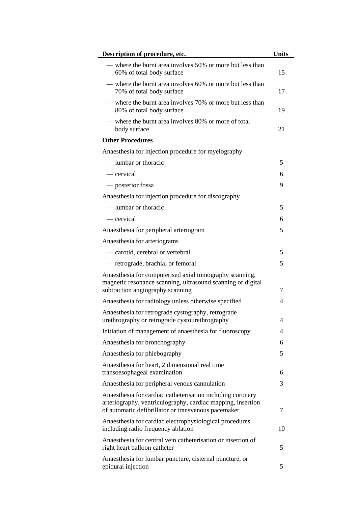| Description of procedure, etc.                                                                                                                                                   | <b>Units</b> |
|----------------------------------------------------------------------------------------------------------------------------------------------------------------------------------|--------------|
| — where the burnt area involves 50% or more but less than<br>60% of total body surface                                                                                           | 15           |
| — where the burnt area involves 60% or more but less than<br>70% of total body surface                                                                                           | 17           |
| — where the burnt area involves 70% or more but less than<br>80% of total body surface                                                                                           | 19           |
| — where the burnt area involves 80% or more of total<br>body surface                                                                                                             | 21           |
| <b>Other Procedures</b>                                                                                                                                                          |              |
| Anaesthesia for injection procedure for myelography                                                                                                                              |              |
| — lumbar or thoracic                                                                                                                                                             | 5            |
| — cervical                                                                                                                                                                       | 6            |
| — posterior fossa                                                                                                                                                                | 9            |
| Anaesthesia for injection procedure for discography                                                                                                                              |              |
| — lumbar or thoracic                                                                                                                                                             | 5            |
| — cervical                                                                                                                                                                       | 6            |
| Anaesthesia for peripheral arteriogram                                                                                                                                           | 5            |
| Anaesthesia for arteriograms                                                                                                                                                     |              |
| - carotid, cerebral or vertebral                                                                                                                                                 | 5            |
| — retrograde, brachial or femoral                                                                                                                                                | 5            |
| Anaesthesia for computerised axial tomography scanning,<br>magnetic resonance scanning, ultrasound scanning or digital<br>subtraction angiography scanning                       | 7            |
| Anaesthesia for radiology unless otherwise specified                                                                                                                             | 4            |
| Anaesthesia for retrograde cystography, retrograde<br>urethrography or retrograde cystourethrography                                                                             | 4            |
| Initiation of management of anaesthesia for fluoroscopy                                                                                                                          | 4            |
| Anaesthesia for bronchography                                                                                                                                                    | 6            |
| Anaesthesia for phlebography                                                                                                                                                     | 5            |
| Anaesthesia for heart, 2 dimensional real time<br>transoesophageal examination                                                                                                   | 6            |
| Anaesthesia for peripheral venous cannulation                                                                                                                                    | 3            |
| Anaesthesia for cardiac catheterisation including coronary<br>arteriography, ventriculography, cardiac mapping, insertion<br>of automatic defibrillator or transvenous pacemaker | 7            |
| Anaesthesia for cardiac electrophysiological procedures<br>including radio frequency ablation                                                                                    | 10           |
| Anaesthesia for central vein catheterisation or insertion of<br>right heart balloon catheter                                                                                     | 5            |
| Anaesthesia for lumbar puncture, cisternal puncture, or<br>epidural injection                                                                                                    | 5            |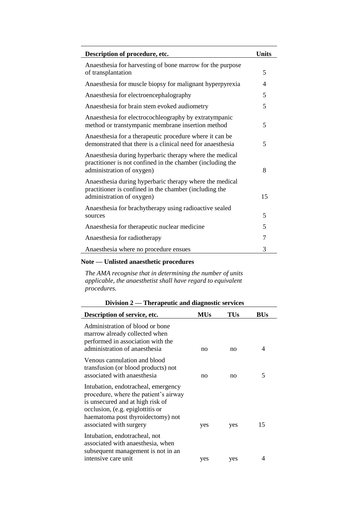| Description of procedure, etc.                                                                                                                     | <b>Units</b> |
|----------------------------------------------------------------------------------------------------------------------------------------------------|--------------|
| Anaesthesia for harvesting of bone marrow for the purpose<br>of transplantation                                                                    | 5            |
| Anaesthesia for muscle biopsy for malignant hyperpyrexia                                                                                           | 4            |
| Anaesthesia for electroencephalography                                                                                                             | 5            |
| Anaesthesia for brain stem evoked audiometry                                                                                                       | 5            |
| Anaesthesia for electrocochleography by extratympanic<br>method or transtympanic membrane insertion method                                         | 5            |
| Anaesthesia for a therapeutic procedure where it can be<br>demonstrated that there is a clinical need for anaesthesia                              | 5            |
| Anaesthesia during hyperbaric therapy where the medical<br>practitioner is not confined in the chamber (including the<br>administration of oxygen) | 8            |
| Anaesthesia during hyperbaric therapy where the medical<br>practitioner is confined in the chamber (including the<br>administration of oxygen)     | 15           |
| Anaesthesia for brachytherapy using radioactive sealed<br>sources                                                                                  | 5            |
| Anaesthesia for therapeutic nuclear medicine                                                                                                       | 5            |
| Anaesthesia for radiotherapy                                                                                                                       | 7            |
| Anaesthesia where no procedure ensues                                                                                                              | 3            |

## **Note — Unlisted anaesthetic procedures**

*The AMA recognise that in determining the number of units applicable, the anaesthetist shall have regard to equivalent procedures.*

| Division 2 — Therapeutic and diagnostic services |  |  |  |
|--------------------------------------------------|--|--|--|
|                                                  |  |  |  |

| Description of service, etc.                                                                                                                                                                                         | MUs | TUs | BUs |
|----------------------------------------------------------------------------------------------------------------------------------------------------------------------------------------------------------------------|-----|-----|-----|
| Administration of blood or bone<br>marrow already collected when<br>performed in association with the<br>administration of anaesthesia                                                                               | no  | no  | 4   |
| Venous cannulation and blood<br>transfusion (or blood products) not<br>associated with anaesthesia                                                                                                                   | no  | no  | 5   |
| Intubation, endotracheal, emergency<br>procedure, where the patient's airway<br>is unsecured and at high risk of<br>occlusion, (e.g. epiglottitis or<br>haematoma post thyroidectomy) not<br>associated with surgery | yes | yes | 15  |
| Intubation, endotracheal, not<br>associated with anaesthesia, when<br>subsequent management is not in an                                                                                                             |     |     |     |
| intensive care unit                                                                                                                                                                                                  | yes | yes | 4   |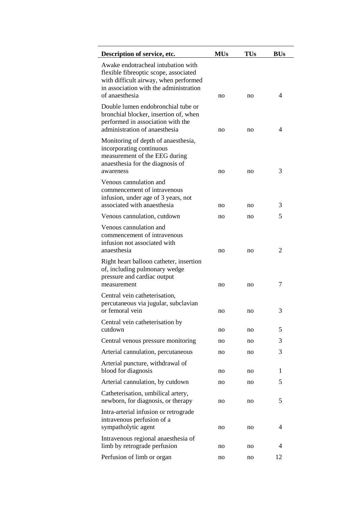| Description of service, etc.                                                                                                                                                     | <b>MUs</b> | <b>TUs</b> | <b>BUs</b> |
|----------------------------------------------------------------------------------------------------------------------------------------------------------------------------------|------------|------------|------------|
| Awake endotracheal intubation with<br>flexible fibreoptic scope, associated<br>with difficult airway, when performed<br>in association with the administration<br>of anaesthesia | no         | no         | 4          |
| Double lumen endobronchial tube or<br>bronchial blocker, insertion of, when<br>performed in association with the<br>administration of anaesthesia                                | no         | no         | 4          |
| Monitoring of depth of anaesthesia,<br>incorporating continuous<br>measurement of the EEG during<br>anaesthesia for the diagnosis of<br>awareness                                | no         | no         | 3          |
| Venous cannulation and<br>commencement of intravenous<br>infusion, under age of 3 years, not<br>associated with anaesthesia                                                      | no         | no         | 3          |
| Venous cannulation, cutdown                                                                                                                                                      | no         | no         | 5          |
| Venous cannulation and<br>commencement of intravenous<br>infusion not associated with<br>anaesthesia                                                                             | no         | no         | 2          |
| Right heart balloon catheter, insertion<br>of, including pulmonary wedge<br>pressure and cardiac output<br>measurement                                                           | no         | no         | 7          |
| Central vein catheterisation,<br>percutaneous via jugular, subclavian<br>or femoral vein                                                                                         | no         | no         | 3          |
| Central vein catheterisation by<br>cutdown                                                                                                                                       | no         | no         | 5          |
| Central venous pressure monitoring                                                                                                                                               | no         | no         | 3          |
| Arterial cannulation, percutaneous                                                                                                                                               | no         | no         | 3          |
| Arterial puncture, withdrawal of<br>blood for diagnosis                                                                                                                          | no         | no         | 1          |
| Arterial cannulation, by cutdown                                                                                                                                                 | no         | no         | 5          |
| Catheterisation, umbilical artery,<br>newborn, for diagnosis, or therapy                                                                                                         | no         | no         | 5          |
| Intra-arterial infusion or retrograde<br>intravenous perfusion of a<br>sympatholytic agent                                                                                       | no         | no         | 4          |
| Intravenous regional anaesthesia of<br>limb by retrograde perfusion                                                                                                              | no         | no         | 4          |
| Perfusion of limb or organ                                                                                                                                                       | no         | no         | 12         |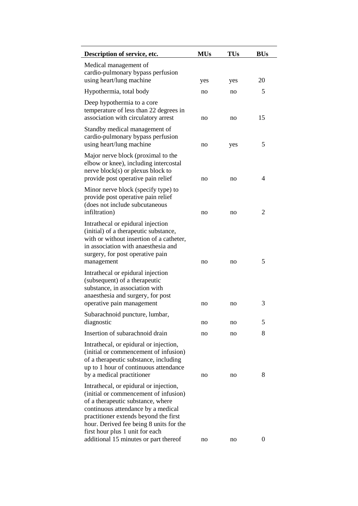| Description of service, etc.                                                                                                                                                                                                                                                      | <b>MUs</b> | TUs | <b>BUs</b>       |
|-----------------------------------------------------------------------------------------------------------------------------------------------------------------------------------------------------------------------------------------------------------------------------------|------------|-----|------------------|
| Medical management of<br>cardio-pulmonary bypass perfusion<br>using heart/lung machine                                                                                                                                                                                            | yes        | yes | 20               |
| Hypothermia, total body                                                                                                                                                                                                                                                           | no         | no  | 5                |
| Deep hypothermia to a core<br>temperature of less than 22 degrees in<br>association with circulatory arrest                                                                                                                                                                       | no         | no  | 15               |
| Standby medical management of<br>cardio-pulmonary bypass perfusion<br>using heart/lung machine                                                                                                                                                                                    | no         | yes | 5                |
| Major nerve block (proximal to the<br>elbow or knee), including intercostal<br>nerve $block(s)$ or plexus block to<br>provide post operative pain relief                                                                                                                          | no         | no  | 4                |
| Minor nerve block (specify type) to<br>provide post operative pain relief<br>(does not include subcutaneous<br>infiltration)                                                                                                                                                      | no         | no  | $\overline{2}$   |
| Intrathecal or epidural injection<br>(initial) of a therapeutic substance,<br>with or without insertion of a catheter,<br>in association with anaesthesia and<br>surgery, for post operative pain<br>management                                                                   | no         | no  | 5                |
| Intrathecal or epidural injection<br>(subsequent) of a therapeutic<br>substance, in association with<br>anaesthesia and surgery, for post<br>operative pain management                                                                                                            | no         | no  | 3                |
| Subarachnoid puncture, lumbar,<br>diagnostic                                                                                                                                                                                                                                      | no         | no  | 5                |
| Insertion of subarachnoid drain                                                                                                                                                                                                                                                   | no         | no  | 8                |
| Intrathecal, or epidural or injection,<br>(initial or commencement of infusion)<br>of a therapeutic substance, including<br>up to 1 hour of continuous attendance<br>by a medical practitioner                                                                                    | no         | no  | 8                |
| Intrathecal, or epidural or injection,<br>(initial or commencement of infusion)<br>of a therapeutic substance, where<br>continuous attendance by a medical<br>practitioner extends beyond the first<br>hour. Derived fee being 8 units for the<br>first hour plus 1 unit for each |            |     |                  |
| additional 15 minutes or part thereof                                                                                                                                                                                                                                             | no         | no  | $\boldsymbol{0}$ |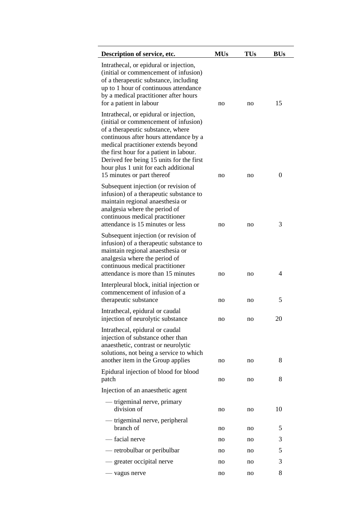| Description of service, etc.                                                                                                                                                                                                                                                                                                                                       | <b>MUs</b> | <b>TUs</b> | <b>BUs</b>       |
|--------------------------------------------------------------------------------------------------------------------------------------------------------------------------------------------------------------------------------------------------------------------------------------------------------------------------------------------------------------------|------------|------------|------------------|
| Intrathecal, or epidural or injection,<br>(initial or commencement of infusion)<br>of a therapeutic substance, including<br>up to 1 hour of continuous attendance<br>by a medical practitioner after hours<br>for a patient in labour                                                                                                                              | no         | no         | 15               |
| Intrathecal, or epidural or injection,<br>(initial or commencement of infusion)<br>of a therapeutic substance, where<br>continuous after hours attendance by a<br>medical practitioner extends beyond<br>the first hour for a patient in labour.<br>Derived fee being 15 units for the first<br>hour plus 1 unit for each additional<br>15 minutes or part thereof | no         | no         | $\boldsymbol{0}$ |
| Subsequent injection (or revision of<br>infusion) of a therapeutic substance to<br>maintain regional anaesthesia or<br>analgesia where the period of<br>continuous medical practitioner<br>attendance is 15 minutes or less                                                                                                                                        | no         | no         | 3                |
| Subsequent injection (or revision of<br>infusion) of a therapeutic substance to<br>maintain regional anaesthesia or<br>analgesia where the period of<br>continuous medical practitioner<br>attendance is more than 15 minutes                                                                                                                                      | no         | no         | 4                |
| Interpleural block, initial injection or<br>commencement of infusion of a<br>therapeutic substance                                                                                                                                                                                                                                                                 | no         | no         | 5                |
| Intrathecal, epidural or caudal<br>injection of neurolytic substance                                                                                                                                                                                                                                                                                               | no         | no         | 20               |
| Intrathecal, epidural or caudal<br>injection of substance other than<br>anaesthetic, contrast or neurolytic<br>solutions, not being a service to which<br>another item in the Group applies                                                                                                                                                                        | no         | no         | 8                |
| Epidural injection of blood for blood<br>patch                                                                                                                                                                                                                                                                                                                     | no         | no         | 8                |
| Injection of an anaesthetic agent                                                                                                                                                                                                                                                                                                                                  |            |            |                  |
| — trigeminal nerve, primary<br>division of                                                                                                                                                                                                                                                                                                                         | no         | no         | 10               |
| — trigeminal nerve, peripheral<br>branch of                                                                                                                                                                                                                                                                                                                        | no         | no         | 5                |
| — facial nerve                                                                                                                                                                                                                                                                                                                                                     | no         | no         | 3                |
| — retrobulbar or peribulbar                                                                                                                                                                                                                                                                                                                                        | no         | no         | 5                |
| — greater occipital nerve                                                                                                                                                                                                                                                                                                                                          | no         | no         | 3                |
| — vagus nerve                                                                                                                                                                                                                                                                                                                                                      | no         | no         | 8                |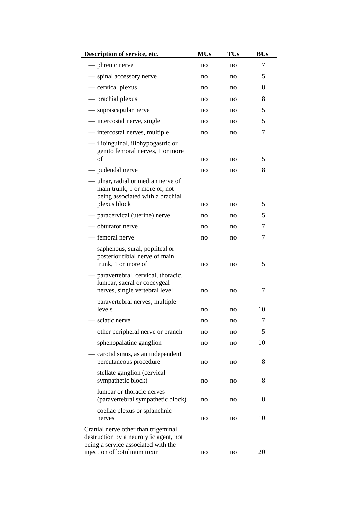| Description of service, etc.                                                                                                                          | <b>MUs</b> | TUs | <b>BUs</b> |
|-------------------------------------------------------------------------------------------------------------------------------------------------------|------------|-----|------------|
| — phrenic nerve                                                                                                                                       | no         | no  | 7          |
| - spinal accessory nerve                                                                                                                              | no         | no  | 5          |
| — cervical plexus                                                                                                                                     | no         | no  | 8          |
| — brachial plexus                                                                                                                                     | no         | no  | 8          |
| — suprascapular nerve                                                                                                                                 | no         | no  | 5          |
| — intercostal nerve, single                                                                                                                           | no         | no  | 5          |
| — intercostal nerves, multiple                                                                                                                        | no         | no  | 7          |
| — ilioinguinal, iliohypogastric or<br>genito femoral nerves, 1 or more                                                                                |            |     |            |
| of                                                                                                                                                    | no         | no  | 5          |
| pudendal nerve                                                                                                                                        | no         | no  | 8          |
| -ulnar, radial or median nerve of<br>main trunk, 1 or more of, not<br>being associated with a brachial<br>plexus block                                | no         | no  | 5          |
| — paracervical (uterine) nerve                                                                                                                        | no         | no  | 5          |
| — obturator nerve                                                                                                                                     | no         | no  | 7          |
| - femoral nerve                                                                                                                                       | no         | no  | 7          |
| — saphenous, sural, popliteal or<br>posterior tibial nerve of main<br>trunk, 1 or more of<br>paravertebral, cervical, thoracic,                       | no         | no  | 5          |
| lumbar, sacral or coccygeal<br>nerves, single vertebral level                                                                                         | no         | no  | 7          |
| paravertebral nerves, multiple<br>levels                                                                                                              | no         | no  | 10         |
| - sciatic nerve                                                                                                                                       | no         | no  | 7          |
| — other peripheral nerve or branch                                                                                                                    | no         | no  | 5          |
| - sphenopalatine ganglion                                                                                                                             | no         | no  | 10         |
| — carotid sinus, as an independent<br>percutaneous procedure                                                                                          | no         | no  | 8          |
| stellate ganglion (cervical<br>sympathetic block)                                                                                                     | no         | no  | 8          |
| — lumbar or thoracic nerves<br>(paravertebral sympathetic block)                                                                                      | no         | no  | 8          |
| — coeliac plexus or splanchnic<br>nerves                                                                                                              | no         | no  | 10         |
| Cranial nerve other than trigeminal,<br>destruction by a neurolytic agent, not<br>being a service associated with the<br>injection of botulinum toxin | no         | no  | 20         |
|                                                                                                                                                       |            |     |            |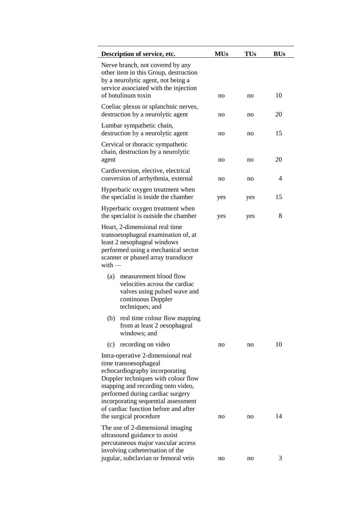| Description of service, etc.                                                                                                                                                                                                                                                                                           | <b>MUs</b> | <b>TUs</b> | <b>BUs</b> |
|------------------------------------------------------------------------------------------------------------------------------------------------------------------------------------------------------------------------------------------------------------------------------------------------------------------------|------------|------------|------------|
| Nerve branch, not covered by any<br>other item in this Group, destruction<br>by a neurolytic agent, not being a<br>service associated with the injection<br>of botulinum toxin                                                                                                                                         | no         | no         | 10         |
| Coeliac plexus or splanchnic nerves,<br>destruction by a neurolytic agent                                                                                                                                                                                                                                              | no         | no         | 20         |
| Lumbar sympathetic chain,<br>destruction by a neurolytic agent                                                                                                                                                                                                                                                         | no         | no         | 15         |
| Cervical or thoracic sympathetic<br>chain, destruction by a neurolytic<br>agent                                                                                                                                                                                                                                        | no         | no         | 20         |
| Cardioversion, elective, electrical<br>conversion of arrhythmia, external                                                                                                                                                                                                                                              | no         | no         | 4          |
| Hyperbaric oxygen treatment when<br>the specialist is inside the chamber                                                                                                                                                                                                                                               | yes        | yes        | 15         |
| Hyperbaric oxygen treatment when<br>the specialist is outside the chamber                                                                                                                                                                                                                                              | yes        | yes        | 8          |
| transoesophageal examination of, at<br>least 2 oesophageal windows<br>performed using a mechanical sector<br>scanner or phased array transducer<br>$with -$<br>measurement blood flow<br>(a)<br>velocities across the cardiac<br>valves using pulsed wave and<br>continuous Doppler                                    |            |            |            |
| techniques; and<br>(b) real time colour flow mapping<br>from at least 2 oesophageal<br>windows; and                                                                                                                                                                                                                    |            |            |            |
| recording on video<br>(c)                                                                                                                                                                                                                                                                                              | no         | no         | 10         |
| Intra-operative 2-dimensional real<br>time transoesophageal<br>echocardiography incorporating<br>Doppler techniques with colour flow<br>mapping and recording onto video,<br>performed during cardiac surgery<br>incorporating sequential assessment<br>of cardiac function before and after<br>the surgical procedure | no         | no         | 14         |
| The use of 2-dimensional imaging<br>ultrasound guidance to assist<br>percutaneous major vascular access<br>involving catheterisation of the                                                                                                                                                                            |            |            |            |
| jugular, subclavian or femoral vein                                                                                                                                                                                                                                                                                    | no         | no         | 3          |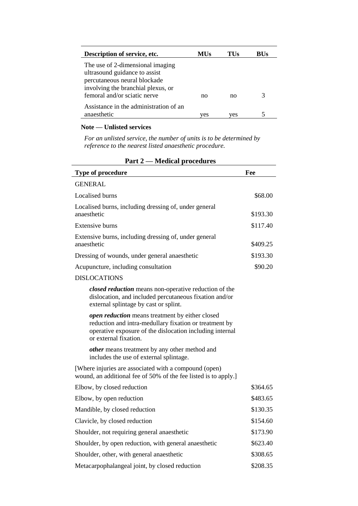| Description of service, etc.           | MUs | TUs | BUs |
|----------------------------------------|-----|-----|-----|
| The use of 2-dimensional imaging       |     |     |     |
| ultrasound guidance to assist          |     |     |     |
| percutaneous neural blockade           |     |     |     |
| involving the branchial plexus, or     |     |     |     |
| femoral and/or sciatic nerve           | no  | no  | 3   |
| Assistance in the administration of an |     |     |     |
| anaesthetic                            | ves | ves |     |

## **Note — Unlisted services**

*For an unlisted service, the number of units is to be determined by reference to the nearest listed anaesthetic procedure.*

| $\cdots$<br>meana proceau co                                                                                                                                                                   |          |
|------------------------------------------------------------------------------------------------------------------------------------------------------------------------------------------------|----------|
| Type of procedure                                                                                                                                                                              | Fee      |
| <b>GENERAL</b>                                                                                                                                                                                 |          |
| Localised burns                                                                                                                                                                                | \$68.00  |
| Localised burns, including dressing of, under general<br>anaesthetic                                                                                                                           | \$193.30 |
| Extensive burns                                                                                                                                                                                | \$117.40 |
| Extensive burns, including dressing of, under general<br>anaesthetic                                                                                                                           | \$409.25 |
| Dressing of wounds, under general anaesthetic                                                                                                                                                  | \$193.30 |
| Acupuncture, including consultation                                                                                                                                                            | \$90.20  |
| <b>DISLOCATIONS</b>                                                                                                                                                                            |          |
| closed reduction means non-operative reduction of the<br>dislocation, and included percutaneous fixation and/or<br>external splintage by cast or splint.                                       |          |
| open reduction means treatment by either closed<br>reduction and intra-medullary fixation or treatment by<br>operative exposure of the dislocation including internal<br>or external fixation. |          |
| other means treatment by any other method and<br>includes the use of external splintage.                                                                                                       |          |
| [Where injuries are associated with a compound (open)<br>wound, an additional fee of 50% of the fee listed is to apply.]                                                                       |          |
| Elbow, by closed reduction                                                                                                                                                                     | \$364.65 |
| Elbow, by open reduction                                                                                                                                                                       | \$483.65 |
| Mandible, by closed reduction                                                                                                                                                                  | \$130.35 |
| Clavicle, by closed reduction                                                                                                                                                                  | \$154.60 |
| Shoulder, not requiring general anaesthetic                                                                                                                                                    | \$173.90 |
| Shoulder, by open reduction, with general anaesthetic                                                                                                                                          | \$623.40 |
| Shoulder, other, with general anaesthetic                                                                                                                                                      | \$308.65 |
| Metacarpophalangeal joint, by closed reduction                                                                                                                                                 | \$208.35 |

## **Part 2 — Medical procedures**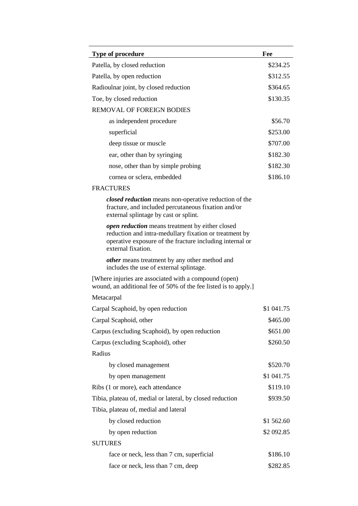| Type of procedure                                                                                                                                                                           | Fee        |
|---------------------------------------------------------------------------------------------------------------------------------------------------------------------------------------------|------------|
| Patella, by closed reduction                                                                                                                                                                | \$234.25   |
| Patella, by open reduction                                                                                                                                                                  | \$312.55   |
| Radioulnar joint, by closed reduction                                                                                                                                                       | \$364.65   |
| Toe, by closed reduction                                                                                                                                                                    | \$130.35   |
| <b>REMOVAL OF FOREIGN BODIES</b>                                                                                                                                                            |            |
| as independent procedure                                                                                                                                                                    | \$56.70    |
| superficial                                                                                                                                                                                 | \$253.00   |
| deep tissue or muscle                                                                                                                                                                       | \$707.00   |
| ear, other than by syringing                                                                                                                                                                | \$182.30   |
| nose, other than by simple probing                                                                                                                                                          | \$182.30   |
| cornea or sclera, embedded                                                                                                                                                                  | \$186.10   |
| <b>FRACTURES</b>                                                                                                                                                                            |            |
| closed reduction means non-operative reduction of the<br>fracture, and included percutaneous fixation and/or<br>external splintage by cast or splint.                                       |            |
| open reduction means treatment by either closed<br>reduction and intra-medullary fixation or treatment by<br>operative exposure of the fracture including internal or<br>external fixation. |            |
| <i>other</i> means treatment by any other method and<br>includes the use of external splintage.                                                                                             |            |
| [Where injuries are associated with a compound (open)<br>wound, an additional fee of 50% of the fee listed is to apply.]                                                                    |            |
| Metacarpal                                                                                                                                                                                  |            |
| Carpal Scaphoid, by open reduction                                                                                                                                                          | \$1 041.75 |
| Carpal Scaphoid, other                                                                                                                                                                      | \$465.00   |
| Carpus (excluding Scaphoid), by open reduction                                                                                                                                              | \$651.00   |
| Carpus (excluding Scaphoid), other                                                                                                                                                          | \$260.50   |
| Radius                                                                                                                                                                                      |            |
| by closed management                                                                                                                                                                        | \$520.70   |
| by open management                                                                                                                                                                          | \$1 041.75 |
| Ribs (1 or more), each attendance                                                                                                                                                           | \$119.10   |
| Tibia, plateau of, medial or lateral, by closed reduction                                                                                                                                   | \$939.50   |
| Tibia, plateau of, medial and lateral                                                                                                                                                       |            |
| by closed reduction                                                                                                                                                                         | \$1 562.60 |
| by open reduction                                                                                                                                                                           | \$2 092.85 |
| <b>SUTURES</b>                                                                                                                                                                              |            |
| face or neck, less than 7 cm, superficial                                                                                                                                                   | \$186.10   |
| face or neck, less than 7 cm, deep                                                                                                                                                          | \$282.85   |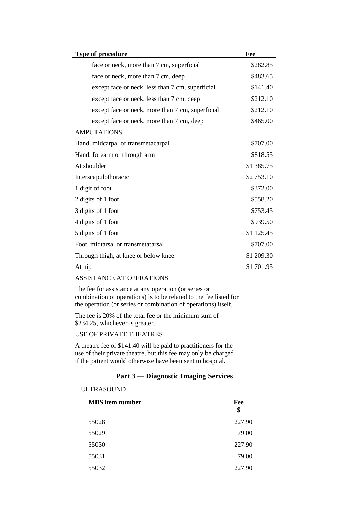| Type of procedure                                | Fee        |
|--------------------------------------------------|------------|
| face or neck, more than 7 cm, superficial        | \$282.85   |
| face or neck, more than 7 cm, deep               | \$483.65   |
| except face or neck, less than 7 cm, superficial | \$141.40   |
| except face or neck, less than 7 cm, deep        | \$212.10   |
| except face or neck, more than 7 cm, superficial | \$212.10   |
| except face or neck, more than 7 cm, deep        | \$465.00   |
| <b>AMPUTATIONS</b>                               |            |
| Hand, midcarpal or transmetacarpal               | \$707.00   |
| Hand, forearm or through arm                     | \$818.55   |
| At shoulder                                      | \$1 385.75 |
| Interscapulothoracic                             | \$2 753.10 |
| 1 digit of foot                                  | \$372.00   |
| 2 digits of 1 foot                               | \$558.20   |
| 3 digits of 1 foot                               | \$753.45   |
| 4 digits of 1 foot                               | \$939.50   |
| 5 digits of 1 foot                               | \$1 125.45 |
| Foot, midtarsal or transmetatarsal               | \$707.00   |
| Through thigh, at knee or below knee             | \$1 209.30 |
| At hip                                           | \$1 701.95 |

#### ASSISTANCE AT OPERATIONS

The fee for assistance at any operation (or series or combination of operations) is to be related to the fee listed for the operation (or series or combination of operations) itself.

The fee is 20% of the total fee or the minimum sum of \$234.25, whichever is greater.

## USE OF PRIVATE THEATRES

A theatre fee of \$141.40 will be paid to practitioners for the use of their private theatre, but this fee may only be charged if the patient would otherwise have been sent to hospital.

## **Part 3 — Diagnostic Imaging Services**

#### ULTRASOUND

| <b>MBS</b> item number | Fee<br>\$ |
|------------------------|-----------|
| 55028                  | 227.90    |
| 55029                  | 79.00     |
| 55030                  | 227.90    |
| 55031                  | 79.00     |
| 55032                  | 227.90    |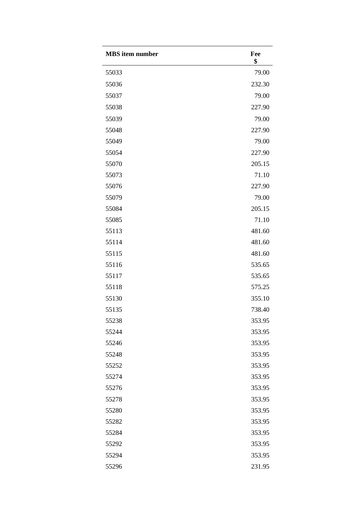| <b>MBS</b> item number | Fee<br>\$ |
|------------------------|-----------|
| 55033                  | 79.00     |
| 55036                  | 232.30    |
| 55037                  | 79.00     |
| 55038                  | 227.90    |
| 55039                  | 79.00     |
| 55048                  | 227.90    |
| 55049                  | 79.00     |
| 55054                  | 227.90    |
| 55070                  | 205.15    |
| 55073                  | 71.10     |
| 55076                  | 227.90    |
| 55079                  | 79.00     |
| 55084                  | 205.15    |
| 55085                  | 71.10     |
| 55113                  | 481.60    |
| 55114                  | 481.60    |
| 55115                  | 481.60    |
| 55116                  | 535.65    |
| 55117                  | 535.65    |
| 55118                  | 575.25    |
| 55130                  | 355.10    |
| 55135                  | 738.40    |
| 55238                  | 353.95    |
| 55244                  | 353.95    |
| 55246                  | 353.95    |
| 55248                  | 353.95    |
| 55252                  | 353.95    |
| 55274                  | 353.95    |
| 55276                  | 353.95    |
| 55278                  | 353.95    |
| 55280                  | 353.95    |
| 55282                  | 353.95    |
| 55284                  | 353.95    |
| 55292                  | 353.95    |
| 55294                  | 353.95    |
| 55296                  | 231.95    |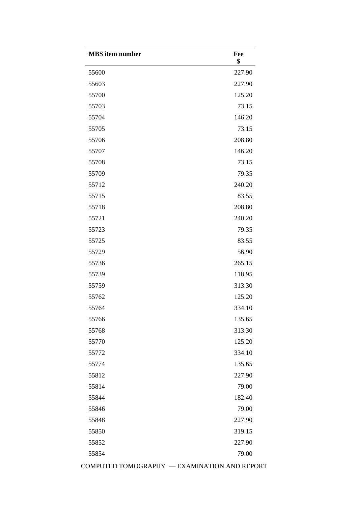| <b>MBS</b> item number | Fee<br>\$ |
|------------------------|-----------|
| 55600                  | 227.90    |
| 55603                  | 227.90    |
| 55700                  | 125.20    |
| 55703                  | 73.15     |
| 55704                  | 146.20    |
| 55705                  | 73.15     |
| 55706                  | 208.80    |
| 55707                  | 146.20    |
| 55708                  | 73.15     |
| 55709                  | 79.35     |
| 55712                  | 240.20    |
| 55715                  | 83.55     |
| 55718                  | 208.80    |
| 55721                  | 240.20    |
| 55723                  | 79.35     |
| 55725                  | 83.55     |
| 55729                  | 56.90     |
| 55736                  | 265.15    |
| 55739                  | 118.95    |
| 55759                  | 313.30    |
| 55762                  | 125.20    |
| 55764                  | 334.10    |
| 55766                  | 135.65    |
| 55768                  | 313.30    |
| 55770                  | 125.20    |
| 55772                  | 334.10    |
| 55774                  | 135.65    |
| 55812                  | 227.90    |
| 55814                  | 79.00     |
| 55844                  | 182.40    |
| 55846                  | 79.00     |
| 55848                  | 227.90    |
| 55850                  | 319.15    |
| 55852                  | 227.90    |
| 55854                  | 79.00     |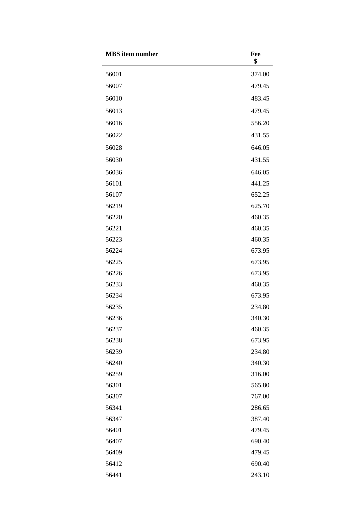| <b>MBS</b> item number | Fee<br>\$ |
|------------------------|-----------|
| 56001                  | 374.00    |
| 56007                  | 479.45    |
| 56010                  | 483.45    |
| 56013                  | 479.45    |
| 56016                  | 556.20    |
| 56022                  | 431.55    |
| 56028                  | 646.05    |
| 56030                  | 431.55    |
| 56036                  | 646.05    |
| 56101                  | 441.25    |
| 56107                  | 652.25    |
| 56219                  | 625.70    |
| 56220                  | 460.35    |
| 56221                  | 460.35    |
| 56223                  | 460.35    |
| 56224                  | 673.95    |
| 56225                  | 673.95    |
| 56226                  | 673.95    |
| 56233                  | 460.35    |
| 56234                  | 673.95    |
| 56235                  | 234.80    |
| 56236                  | 340.30    |
| 56237                  | 460.35    |
| 56238                  | 673.95    |
| 56239                  | 234.80    |
| 56240                  | 340.30    |
| 56259                  | 316.00    |
| 56301                  | 565.80    |
| 56307                  | 767.00    |
| 56341                  | 286.65    |
| 56347                  | 387.40    |
| 56401                  | 479.45    |
| 56407                  | 690.40    |
| 56409                  | 479.45    |
| 56412                  | 690.40    |
| 56441                  | 243.10    |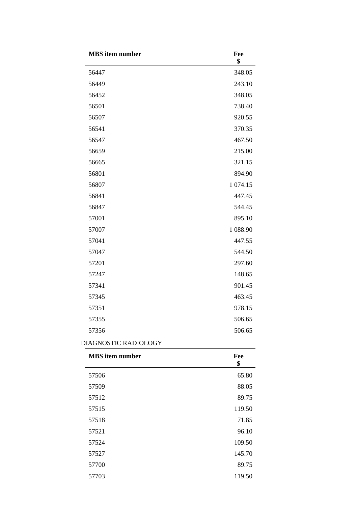| <b>MBS</b> item number | Fee<br>\$ |
|------------------------|-----------|
| 56447                  | 348.05    |
| 56449                  | 243.10    |
| 56452                  | 348.05    |
| 56501                  | 738.40    |
| 56507                  | 920.55    |
| 56541                  | 370.35    |
| 56547                  | 467.50    |
| 56659                  | 215.00    |
| 56665                  | 321.15    |
| 56801                  | 894.90    |
| 56807                  | 1 074.15  |
| 56841                  | 447.45    |
| 56847                  | 544.45    |
| 57001                  | 895.10    |
| 57007                  | 1 088.90  |
| 57041                  | 447.55    |
| 57047                  | 544.50    |
| 57201                  | 297.60    |
| 57247                  | 148.65    |
| 57341                  | 901.45    |
| 57345                  | 463.45    |
| 57351                  | 978.15    |
| 57355                  | 506.65    |
| 57356                  | 506.65    |

### DIAGNOSTIC RADIOLOGY

| <b>MBS</b> item number | Fee<br>\$ |
|------------------------|-----------|
| 57506                  | 65.80     |
| 57509                  | 88.05     |
| 57512                  | 89.75     |
| 57515                  | 119.50    |
| 57518                  | 71.85     |
| 57521                  | 96.10     |
| 57524                  | 109.50    |
| 57527                  | 145.70    |
| 57700                  | 89.75     |
| 57703                  | 119.50    |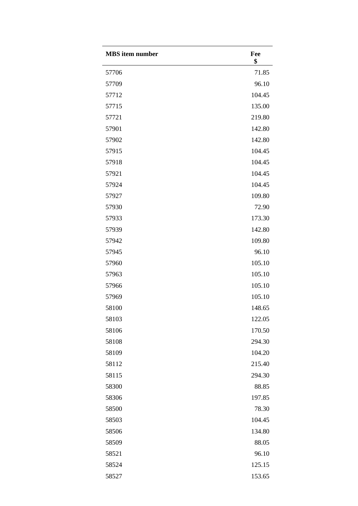| <b>MBS</b> item number | Fee<br>\$ |
|------------------------|-----------|
| 57706                  | 71.85     |
| 57709                  | 96.10     |
| 57712                  | 104.45    |
| 57715                  | 135.00    |
| 57721                  | 219.80    |
| 57901                  | 142.80    |
| 57902                  | 142.80    |
| 57915                  | 104.45    |
| 57918                  | 104.45    |
| 57921                  | 104.45    |
| 57924                  | 104.45    |
| 57927                  | 109.80    |
| 57930                  | 72.90     |
| 57933                  | 173.30    |
| 57939                  | 142.80    |
| 57942                  | 109.80    |
| 57945                  | 96.10     |
| 57960                  | 105.10    |
| 57963                  | 105.10    |
| 57966                  | 105.10    |
| 57969                  | 105.10    |
| 58100                  | 148.65    |
| 58103                  | 122.05    |
| 58106                  | 170.50    |
| 58108                  | 294.30    |
| 58109                  | 104.20    |
| 58112                  | 215.40    |
| 58115                  | 294.30    |
| 58300                  | 88.85     |
| 58306                  | 197.85    |
| 58500                  | 78.30     |
| 58503                  | 104.45    |
| 58506                  | 134.80    |
| 58509                  | 88.05     |
| 58521                  | 96.10     |
| 58524                  | 125.15    |
| 58527                  | 153.65    |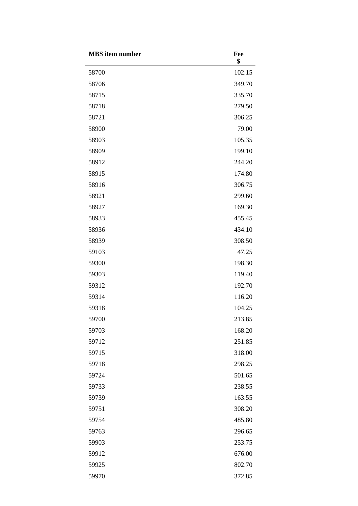| <b>MBS</b> item number | Fee<br>\$ |
|------------------------|-----------|
| 58700                  | 102.15    |
| 58706                  | 349.70    |
| 58715                  | 335.70    |
| 58718                  | 279.50    |
| 58721                  | 306.25    |
| 58900                  | 79.00     |
| 58903                  | 105.35    |
| 58909                  | 199.10    |
| 58912                  | 244.20    |
| 58915                  | 174.80    |
| 58916                  | 306.75    |
| 58921                  | 299.60    |
| 58927                  | 169.30    |
| 58933                  | 455.45    |
| 58936                  | 434.10    |
| 58939                  | 308.50    |
| 59103                  | 47.25     |
| 59300                  | 198.30    |
| 59303                  | 119.40    |
| 59312                  | 192.70    |
| 59314                  | 116.20    |
| 59318                  | 104.25    |
| 59700                  | 213.85    |
| 59703                  | 168.20    |
| 59712                  | 251.85    |
| 59715                  | 318.00    |
| 59718                  | 298.25    |
| 59724                  | 501.65    |
| 59733                  | 238.55    |
| 59739                  | 163.55    |
| 59751                  | 308.20    |
| 59754                  | 485.80    |
| 59763                  | 296.65    |
| 59903                  | 253.75    |
| 59912                  | 676.00    |
| 59925                  | 802.70    |
| 59970                  | 372.85    |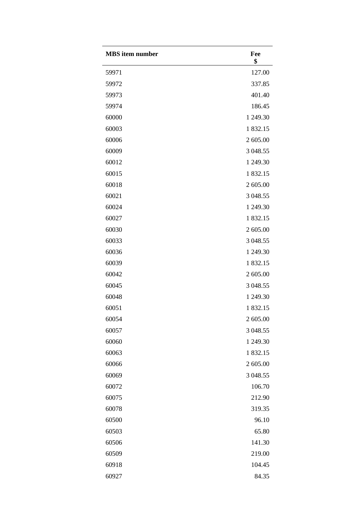| <b>MBS</b> item number | Fee<br>\$ |
|------------------------|-----------|
| 59971                  | 127.00    |
| 59972                  | 337.85    |
| 59973                  | 401.40    |
| 59974                  | 186.45    |
| 60000                  | 1 249.30  |
| 60003                  | 1832.15   |
| 60006                  | 2 605.00  |
| 60009                  | 3 048.55  |
| 60012                  | 1 249.30  |
| 60015                  | 1832.15   |
| 60018                  | 2 605.00  |
| 60021                  | 3 048.55  |
| 60024                  | 1 249.30  |
| 60027                  | 1832.15   |
| 60030                  | 2 605.00  |
| 60033                  | 3 048.55  |
| 60036                  | 1 249.30  |
| 60039                  | 1832.15   |
| 60042                  | 2 605.00  |
| 60045                  | 3 048.55  |
| 60048                  | 1 249.30  |
| 60051                  | 1 832.15  |
| 60054                  | 2 605.00  |
| 60057                  | 3 048.55  |
| 60060                  | 1 249.30  |
| 60063                  | 1832.15   |
| 60066                  | 2 605.00  |
| 60069                  | 3 048.55  |
| 60072                  | 106.70    |
| 60075                  | 212.90    |
| 60078                  | 319.35    |
| 60500                  | 96.10     |
| 60503                  | 65.80     |
| 60506                  | 141.30    |
| 60509                  | 219.00    |
| 60918                  | 104.45    |
| 60927                  | 84.35     |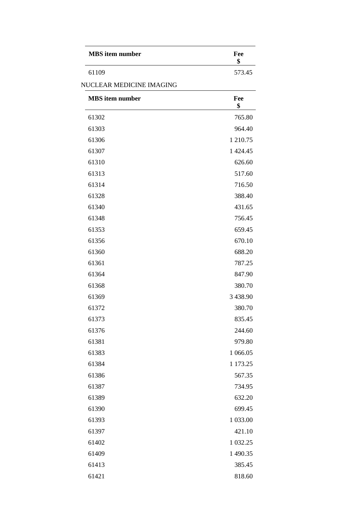| <b>MBS</b> item number | Fee    |
|------------------------|--------|
| 61109                  | 573.45 |

#### NUCLEAR MEDICINE IMAGING

| <b>MBS</b> item number | Fee<br>\$ |
|------------------------|-----------|
| 61302                  | 765.80    |
| 61303                  | 964.40    |
| 61306                  | 1 210.75  |
| 61307                  | 1 424.45  |
| 61310                  | 626.60    |
| 61313                  | 517.60    |
| 61314                  | 716.50    |
| 61328                  | 388.40    |
| 61340                  | 431.65    |
| 61348                  | 756.45    |
| 61353                  | 659.45    |
| 61356                  | 670.10    |
| 61360                  | 688.20    |
| 61361                  | 787.25    |
| 61364                  | 847.90    |
| 61368                  | 380.70    |
| 61369                  | 3 438.90  |
| 61372                  | 380.70    |
| 61373                  | 835.45    |
| 61376                  | 244.60    |
| 61381                  | 979.80    |
| 61383                  | 1 066.05  |
| 61384                  | 1 173.25  |
| 61386                  | 567.35    |
| 61387                  | 734.95    |
| 61389                  | 632.20    |
| 61390                  | 699.45    |
| 61393                  | 1 033.00  |
| 61397                  | 421.10    |
| 61402                  | 1 0 32.25 |
| 61409                  | 1 490.35  |
| 61413                  | 385.45    |
| 61421                  | 818.60    |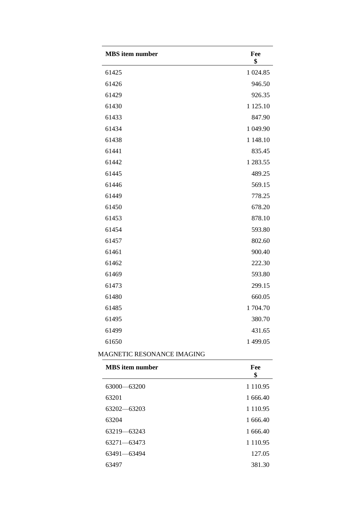| <b>MBS</b> item number | Fee<br>\$ |
|------------------------|-----------|
| 61425                  | 1 024.85  |
| 61426                  | 946.50    |
| 61429                  | 926.35    |
| 61430                  | 1 1 25.10 |
| 61433                  | 847.90    |
| 61434                  | 1 049.90  |
| 61438                  | 1 148.10  |
| 61441                  | 835.45    |
| 61442                  | 1 283.55  |
| 61445                  | 489.25    |
| 61446                  | 569.15    |
| 61449                  | 778.25    |
| 61450                  | 678.20    |
| 61453                  | 878.10    |
| 61454                  | 593.80    |
| 61457                  | 802.60    |
| 61461                  | 900.40    |
| 61462                  | 222.30    |
| 61469                  | 593.80    |
| 61473                  | 299.15    |
| 61480                  | 660.05    |
| 61485                  | 1704.70   |
| 61495                  | 380.70    |
| 61499                  | 431.65    |
| 61650                  | 1 499.05  |

## MAGNETIC RESONANCE IMAGING

| <b>MBS</b> item number | Fee<br>\$     |
|------------------------|---------------|
| 63000-63200            | 1 1 1 0 . 9 5 |
| 63201                  | 1 666.40      |
| 63202-63203            | 1 1 1 0 . 9 5 |
| 63204                  | 1 666.40      |
| 63219 - 63243          | 1 666.40      |
| 63271-63473            | 1 1 1 0 . 9 5 |
| 63491-63494            | 127.05        |
| 63497                  | 381.30        |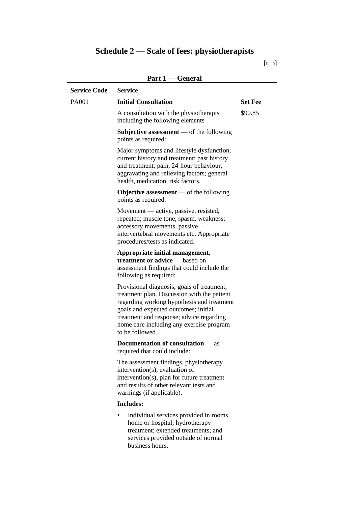# **Schedule 2 — Scale of fees: physiotherapists**

| ×<br>۹ |  |
|--------|--|
|--------|--|

| <b>Service Code</b> | <b>Service</b>                                                                                                                                                                                                                                                                             |                |
|---------------------|--------------------------------------------------------------------------------------------------------------------------------------------------------------------------------------------------------------------------------------------------------------------------------------------|----------------|
| PA001               | <b>Initial Consultation</b>                                                                                                                                                                                                                                                                | <b>Set Fee</b> |
|                     | A consultation with the physiotherapist<br>including the following elements —                                                                                                                                                                                                              | \$90.85        |
|                     | Subjective assessment $-$ of the following<br>points as required:                                                                                                                                                                                                                          |                |
|                     | Major symptoms and lifestyle dysfunction;<br>current history and treatment; past history<br>and treatment; pain, 24-hour behaviour,<br>aggravating and relieving factors; general<br>health, medication, risk factors.                                                                     |                |
|                     | <b>Objective assessment</b> — of the following<br>points as required:                                                                                                                                                                                                                      |                |
|                     | Movement — active, passive, resisted,<br>repeated; muscle tone, spasm, weakness;<br>accessory movements, passive<br>intervertebral movements etc. Appropriate<br>procedures/tests as indicated.                                                                                            |                |
|                     | Appropriate initial management,<br><b>treatment or advice</b> — based on<br>assessment findings that could include the<br>following as required:                                                                                                                                           |                |
|                     | Provisional diagnosis; goals of treatment;<br>treatment plan. Discussion with the patient<br>regarding working hypothesis and treatment<br>goals and expected outcomes; initial<br>treatment and response; advice regarding<br>home care including any exercise program<br>to be followed. |                |
|                     | <b>Documentation of consultation</b> — as<br>required that could include:                                                                                                                                                                                                                  |                |
|                     | The assessment findings, physiotherapy<br>intervention(s), evaluation of<br>intervention(s), plan for future treatment<br>and results of other relevant tests and<br>warnings (if applicable).                                                                                             |                |
|                     | <b>Includes:</b>                                                                                                                                                                                                                                                                           |                |
|                     | Individual services provided in rooms,<br>home or hospital; hydrotherapy<br>treatment; extended treatments; and<br>services provided outside of normal<br>business hours.                                                                                                                  |                |

## **Part 1 — General**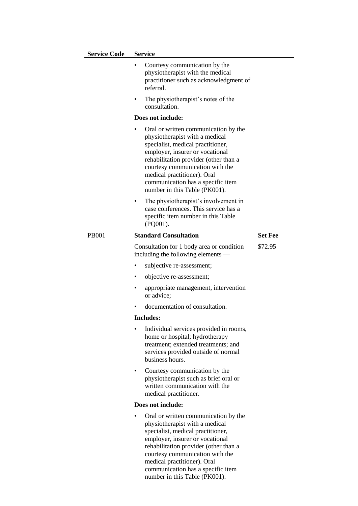| <b>Service Code</b> | <b>Service</b>                                                                                                                                                                                                                                                                                                                       |                |
|---------------------|--------------------------------------------------------------------------------------------------------------------------------------------------------------------------------------------------------------------------------------------------------------------------------------------------------------------------------------|----------------|
|                     | Courtesy communication by the<br>physiotherapist with the medical<br>practitioner such as acknowledgment of<br>referral.                                                                                                                                                                                                             |                |
|                     | The physiotherapist's notes of the<br>٠<br>consultation.                                                                                                                                                                                                                                                                             |                |
|                     | Does not include:                                                                                                                                                                                                                                                                                                                    |                |
|                     | Oral or written communication by the<br>physiotherapist with a medical<br>specialist, medical practitioner,<br>employer, insurer or vocational<br>rehabilitation provider (other than a<br>courtesy communication with the<br>medical practitioner). Oral<br>communication has a specific item<br>number in this Table (PK001).      |                |
|                     | The physiotherapist's involvement in<br>٠<br>case conferences. This service has a<br>specific item number in this Table<br>(PQ001).                                                                                                                                                                                                  |                |
| <b>PB001</b>        | <b>Standard Consultation</b>                                                                                                                                                                                                                                                                                                         | <b>Set Fee</b> |
|                     | Consultation for 1 body area or condition<br>including the following elements —                                                                                                                                                                                                                                                      | \$72.95        |
|                     | subjective re-assessment;<br>٠                                                                                                                                                                                                                                                                                                       |                |
|                     | objective re-assessment;<br>٠                                                                                                                                                                                                                                                                                                        |                |
|                     | appropriate management, intervention<br>٠<br>or advice;                                                                                                                                                                                                                                                                              |                |
|                     | documentation of consultation.                                                                                                                                                                                                                                                                                                       |                |
|                     | Includes:                                                                                                                                                                                                                                                                                                                            |                |
|                     | Individual services provided in rooms,<br>٠<br>home or hospital; hydrotherapy<br>treatment; extended treatments; and<br>services provided outside of normal<br>business hours.                                                                                                                                                       |                |
|                     | Courtesy communication by the<br>٠<br>physiotherapist such as brief oral or<br>written communication with the<br>medical practitioner.                                                                                                                                                                                               |                |
|                     | Does not include:                                                                                                                                                                                                                                                                                                                    |                |
|                     | Oral or written communication by the<br>٠<br>physiotherapist with a medical<br>specialist, medical practitioner,<br>employer, insurer or vocational<br>rehabilitation provider (other than a<br>courtesy communication with the<br>medical practitioner). Oral<br>communication has a specific item<br>number in this Table (PK001). |                |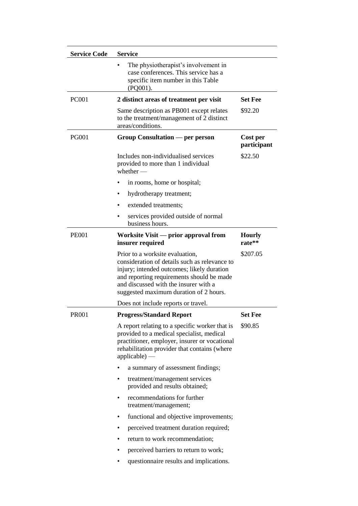| <b>Service Code</b> | <b>Service</b>                                                                                                                                                                                                                                                 |                         |
|---------------------|----------------------------------------------------------------------------------------------------------------------------------------------------------------------------------------------------------------------------------------------------------------|-------------------------|
|                     | The physiotherapist's involvement in<br>case conferences. This service has a<br>specific item number in this Table<br>$(PQ001)$ .                                                                                                                              |                         |
| <b>PC001</b>        | 2 distinct areas of treatment per visit                                                                                                                                                                                                                        | <b>Set Fee</b>          |
|                     | Same description as PB001 except relates<br>to the treatment/management of 2 distinct<br>areas/conditions.                                                                                                                                                     | \$92.20                 |
| <b>PG001</b>        | Group Consultation — per person                                                                                                                                                                                                                                | Cost per<br>participant |
|                     | Includes non-individualised services<br>provided to more than 1 individual<br>$whether$ —                                                                                                                                                                      | \$22.50                 |
|                     | in rooms, home or hospital;                                                                                                                                                                                                                                    |                         |
|                     | hydrotherapy treatment;<br>٠                                                                                                                                                                                                                                   |                         |
|                     | extended treatments;                                                                                                                                                                                                                                           |                         |
|                     | services provided outside of normal<br>٠<br>business hours.                                                                                                                                                                                                    |                         |
| <b>PE001</b>        | Worksite Visit - prior approval from<br>insurer required                                                                                                                                                                                                       | <b>Hourly</b><br>rate** |
|                     | Prior to a worksite evaluation,<br>consideration of details such as relevance to<br>injury; intended outcomes; likely duration<br>and reporting requirements should be made<br>and discussed with the insurer with a<br>suggested maximum duration of 2 hours. | \$207.05                |
|                     | Does not include reports or travel.                                                                                                                                                                                                                            |                         |
| PR001               | <b>Progress/Standard Report</b>                                                                                                                                                                                                                                | <b>Set Fee</b>          |
|                     | A report relating to a specific worker that is<br>provided to a medical specialist, medical<br>practitioner, employer, insurer or vocational<br>rehabilitation provider that contains (where<br>$applicable)$ —                                                | \$90.85                 |
|                     | a summary of assessment findings;<br>٠                                                                                                                                                                                                                         |                         |
|                     | treatment/management services<br>$\bullet$<br>provided and results obtained;                                                                                                                                                                                   |                         |
|                     | recommendations for further<br>٠<br>treatment/management;                                                                                                                                                                                                      |                         |
|                     | functional and objective improvements;<br>٠                                                                                                                                                                                                                    |                         |
|                     | perceived treatment duration required;<br>٠                                                                                                                                                                                                                    |                         |
|                     | return to work recommendation;<br>٠                                                                                                                                                                                                                            |                         |
|                     | perceived barriers to return to work;<br>٠                                                                                                                                                                                                                     |                         |
|                     | questionnaire results and implications.<br>٠                                                                                                                                                                                                                   |                         |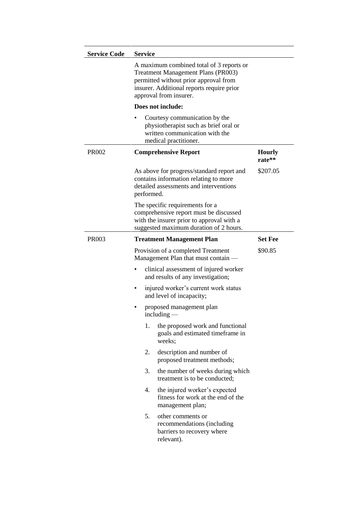| <b>Service Code</b> | <b>Service</b>                                                                                                                                                                                        |                         |
|---------------------|-------------------------------------------------------------------------------------------------------------------------------------------------------------------------------------------------------|-------------------------|
|                     | A maximum combined total of 3 reports or<br><b>Treatment Management Plans (PR003)</b><br>permitted without prior approval from<br>insurer. Additional reports require prior<br>approval from insurer. |                         |
|                     | Does not include:                                                                                                                                                                                     |                         |
|                     | Courtesy communication by the<br>physiotherapist such as brief oral or<br>written communication with the<br>medical practitioner.                                                                     |                         |
| PR002               | <b>Comprehensive Report</b>                                                                                                                                                                           | <b>Hourly</b><br>rate** |
|                     | As above for progress/standard report and<br>contains information relating to more<br>detailed assessments and interventions<br>performed.                                                            | \$207.05                |
|                     | The specific requirements for a<br>comprehensive report must be discussed<br>with the insurer prior to approval with a<br>suggested maximum duration of 2 hours.                                      |                         |
| PR003               | <b>Treatment Management Plan</b>                                                                                                                                                                      | <b>Set Fee</b>          |
|                     | Provision of a completed Treatment<br>Management Plan that must contain —                                                                                                                             | \$90.85                 |
|                     | clinical assessment of injured worker<br>and results of any investigation;                                                                                                                            |                         |
|                     | injured worker's current work status<br>and level of incapacity;                                                                                                                                      |                         |
|                     | proposed management plan<br>$including -$                                                                                                                                                             |                         |
|                     | 1.<br>the proposed work and functional<br>goals and estimated timeframe in<br>weeks;                                                                                                                  |                         |
|                     | description and number of<br>2.<br>proposed treatment methods;                                                                                                                                        |                         |
|                     | 3.<br>the number of weeks during which<br>treatment is to be conducted;                                                                                                                               |                         |
|                     | the injured worker's expected<br>4.<br>fitness for work at the end of the<br>management plan;                                                                                                         |                         |
|                     | 5.<br>other comments or<br>recommendations (including<br>barriers to recovery where<br>relevant).                                                                                                     |                         |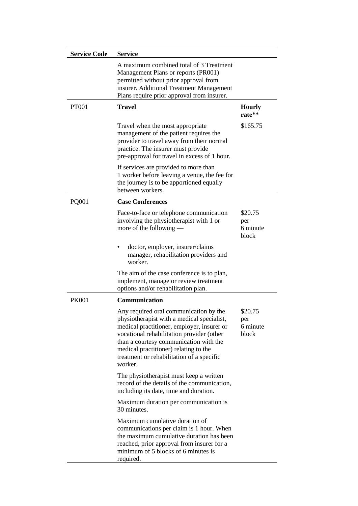| <b>Service Code</b> | <b>Service</b>                                                                                                                                                                                                                                                                                                             |                                     |
|---------------------|----------------------------------------------------------------------------------------------------------------------------------------------------------------------------------------------------------------------------------------------------------------------------------------------------------------------------|-------------------------------------|
|                     | A maximum combined total of 3 Treatment<br>Management Plans or reports (PR001)<br>permitted without prior approval from<br>insurer. Additional Treatment Management<br>Plans require prior approval from insurer.                                                                                                          |                                     |
| <b>PT001</b>        | <b>Travel</b>                                                                                                                                                                                                                                                                                                              | <b>Hourly</b><br>rate**             |
|                     | Travel when the most appropriate<br>management of the patient requires the<br>provider to travel away from their normal<br>practice. The insurer must provide<br>pre-approval for travel in excess of 1 hour.                                                                                                              | \$165.75                            |
|                     | If services are provided to more than<br>1 worker before leaving a venue, the fee for<br>the journey is to be apportioned equally<br>between workers.                                                                                                                                                                      |                                     |
| <b>PQ001</b>        | <b>Case Conferences</b>                                                                                                                                                                                                                                                                                                    |                                     |
|                     | Face-to-face or telephone communication<br>involving the physiotherapist with 1 or<br>more of the following $-$                                                                                                                                                                                                            | \$20.75<br>per<br>6 minute<br>block |
|                     | doctor, employer, insurer/claims<br>manager, rehabilitation providers and<br>worker.                                                                                                                                                                                                                                       |                                     |
|                     | The aim of the case conference is to plan,<br>implement, manage or review treatment<br>options and/or rehabilitation plan.                                                                                                                                                                                                 |                                     |
| <b>PK001</b>        | <b>Communication</b>                                                                                                                                                                                                                                                                                                       |                                     |
|                     | Any required oral communication by the<br>physiotherapist with a medical specialist,<br>medical practitioner, employer, insurer or<br>vocational rehabilitation provider (other<br>than a courtesy communication with the<br>medical practitioner) relating to the<br>treatment or rehabilitation of a specific<br>worker. | \$20.75<br>per<br>6 minute<br>block |
|                     | The physiotherapist must keep a written<br>record of the details of the communication,<br>including its date, time and duration.                                                                                                                                                                                           |                                     |
|                     | Maximum duration per communication is<br>30 minutes.                                                                                                                                                                                                                                                                       |                                     |
|                     | Maximum cumulative duration of<br>communications per claim is 1 hour. When<br>the maximum cumulative duration has been<br>reached, prior approval from insurer for a<br>minimum of 5 blocks of 6 minutes is<br>required.                                                                                                   |                                     |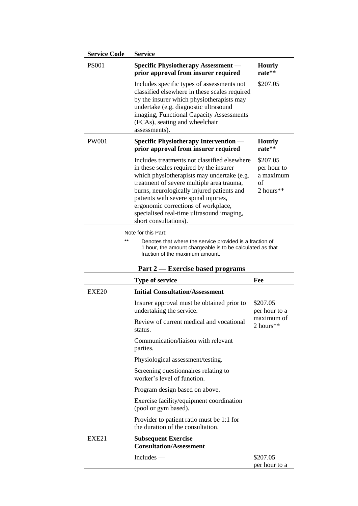| <b>Service Code</b> | <b>Service</b>                                                                                                                                                                                                                                                                                                                                                                         |                                                         |
|---------------------|----------------------------------------------------------------------------------------------------------------------------------------------------------------------------------------------------------------------------------------------------------------------------------------------------------------------------------------------------------------------------------------|---------------------------------------------------------|
| <b>PS001</b>        | <b>Specific Physiotherapy Assessment -</b><br>prior approval from insurer required                                                                                                                                                                                                                                                                                                     | <b>Hourly</b><br>rate**                                 |
|                     | Includes specific types of assessments not<br>classified elsewhere in these scales required<br>by the insurer which physiotherapists may<br>undertake (e.g. diagnostic ultrasound<br>imaging, Functional Capacity Assessments<br>(FCAs), seating and wheelchair<br>assessments).                                                                                                       | \$207.05                                                |
| <b>PW001</b>        | <b>Specific Physiotherapy Intervention</b><br>prior approval from insurer required                                                                                                                                                                                                                                                                                                     | <b>Hourly</b><br>rate**                                 |
|                     | Includes treatments not classified elsewhere<br>in these scales required by the insurer<br>which physiotherapists may undertake (e.g.<br>treatment of severe multiple area trauma,<br>burns, neurologically injured patients and<br>patients with severe spinal injuries,<br>ergonomic corrections of workplace,<br>specialised real-time ultrasound imaging,<br>short consultations). | \$207.05<br>per hour to<br>a maximum<br>of<br>2 hours** |
| $**$                | Note for this Part:<br>Denotes that where the service provided is a fraction of<br>1 hour, the amount chargeable is to be calculated as that<br>fraction of the maximum amount.<br>Part 2 — Exercise based programs                                                                                                                                                                    |                                                         |
|                     | <b>Type of service</b>                                                                                                                                                                                                                                                                                                                                                                 | Fee                                                     |
| EXE20               | <b>Initial Consultation/Assessment</b>                                                                                                                                                                                                                                                                                                                                                 |                                                         |
|                     | Insurer approval must be obtained prior to<br>undertaking the service.                                                                                                                                                                                                                                                                                                                 | \$207.05<br>per hour to a<br>maximum of                 |
|                     | Review of current medical and vocational<br>status.                                                                                                                                                                                                                                                                                                                                    | 2 hours**                                               |
|                     | Communication/liaison with relevant<br>parties.                                                                                                                                                                                                                                                                                                                                        |                                                         |
|                     | Physiological assessment/testing.                                                                                                                                                                                                                                                                                                                                                      |                                                         |
|                     | Screening questionnaires relating to<br>worker's level of function.                                                                                                                                                                                                                                                                                                                    |                                                         |
|                     | Program design based on above.                                                                                                                                                                                                                                                                                                                                                         |                                                         |
|                     | Exercise facility/equipment coordination<br>(pool or gym based).                                                                                                                                                                                                                                                                                                                       |                                                         |
|                     | Provider to patient ratio must be 1:1 for<br>the duration of the consultation.                                                                                                                                                                                                                                                                                                         |                                                         |
| EXE <sub>21</sub>   | <b>Subsequent Exercise</b><br><b>Consultation/Assessment</b>                                                                                                                                                                                                                                                                                                                           |                                                         |
|                     | $Includes$ —                                                                                                                                                                                                                                                                                                                                                                           | \$207.05<br>per hour to a                               |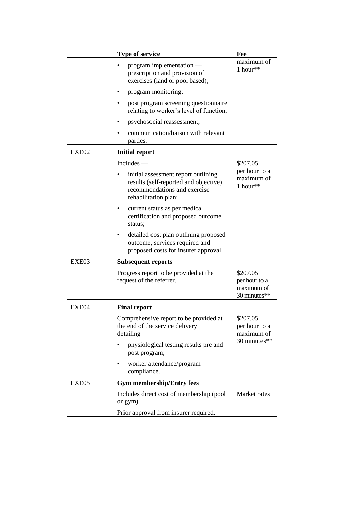|       | Type of service                                                                                                                       | Fee                                                     |
|-------|---------------------------------------------------------------------------------------------------------------------------------------|---------------------------------------------------------|
|       | program implementation -<br>prescription and provision of<br>exercises (land or pool based);                                          | maximum of<br>1 hour**                                  |
|       | program monitoring;<br>٠                                                                                                              |                                                         |
|       | post program screening questionnaire<br>relating to worker's level of function;                                                       |                                                         |
|       | psychosocial reassessment;                                                                                                            |                                                         |
|       | communication/liaison with relevant<br>parties.                                                                                       |                                                         |
| EXE02 | <b>Initial report</b>                                                                                                                 |                                                         |
|       | $Includes$ —                                                                                                                          | \$207.05                                                |
|       | initial assessment report outlining<br>results (self-reported and objective),<br>recommendations and exercise<br>rehabilitation plan; | per hour to a<br>maximum of<br>1 hour**                 |
|       | current status as per medical<br>certification and proposed outcome<br>status;                                                        |                                                         |
|       | detailed cost plan outlining proposed<br>outcome, services required and<br>proposed costs for insurer approval.                       |                                                         |
| EXE03 | <b>Subsequent reports</b>                                                                                                             |                                                         |
|       | Progress report to be provided at the<br>request of the referrer.                                                                     | \$207.05<br>per hour to a<br>maximum of<br>30 minutes** |
| EXE04 | <b>Final report</b>                                                                                                                   |                                                         |
|       | Comprehensive report to be provided at<br>the end of the service delivery<br>$detailing$ —                                            | \$207.05<br>per hour to a<br>maximum of<br>30 minutes** |
|       | physiological testing results pre and<br>post program;                                                                                |                                                         |
|       | worker attendance/program<br>compliance.                                                                                              |                                                         |
| EXE05 | <b>Gym membership/Entry fees</b>                                                                                                      |                                                         |
|       | Includes direct cost of membership (pool<br>or gym).                                                                                  | Market rates                                            |
|       | Prior approval from insurer required.                                                                                                 |                                                         |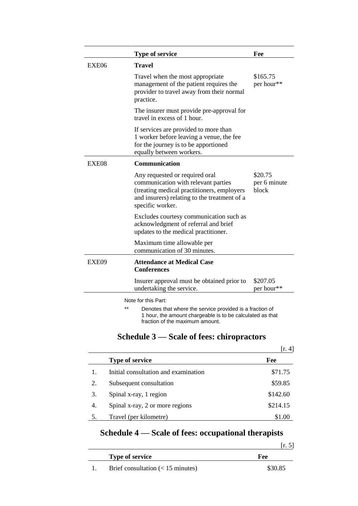|       | <b>Type of service</b>                                                                                                                                                                  | Fee                              |
|-------|-----------------------------------------------------------------------------------------------------------------------------------------------------------------------------------------|----------------------------------|
| EXE06 | Travel                                                                                                                                                                                  |                                  |
|       | Travel when the most appropriate<br>management of the patient requires the<br>provider to travel away from their normal<br>practice.                                                    | \$165.75<br>per hour**           |
|       | The insurer must provide pre-approval for<br>travel in excess of 1 hour.                                                                                                                |                                  |
|       | If services are provided to more than<br>1 worker before leaving a venue, the fee<br>for the journey is to be apportioned<br>equally between workers.                                   |                                  |
| EXE08 | <b>Communication</b>                                                                                                                                                                    |                                  |
|       | Any requested or required oral<br>communication with relevant parties<br>(treating medical practitioners, employers<br>and insurers) relating to the treatment of a<br>specific worker. | \$20.75<br>per 6 minute<br>block |
|       | Excludes courtesy communication such as<br>acknowledgment of referral and brief<br>updates to the medical practitioner.                                                                 |                                  |
|       | Maximum time allowable per<br>communication of 30 minutes.                                                                                                                              |                                  |
| EXE09 | <b>Attendance at Medical Case</b><br><b>Conferences</b>                                                                                                                                 |                                  |
|       | Insurer approval must be obtained prior to<br>undertaking the service.                                                                                                                  | \$207.05<br>per hour**           |
|       | Note for this Part:                                                                                                                                                                     |                                  |
|       | $**$<br>Denotes that where the service provided is a fraction of<br>1 hour, the amount chargeable is to be calculated as that                                                           |                                  |

# **Schedule 3 — Scale of fees: chiropractors**

fraction of the maximum amount.

|    |                                      | [r. 4]   |
|----|--------------------------------------|----------|
|    | <b>Type of service</b>               | Fee      |
|    | Initial consultation and examination | \$71.75  |
| 2. | Subsequent consultation              | \$59.85  |
| 3. | Spinal x-ray, 1 region               | \$142.60 |
| 4. | Spinal x-ray, 2 or more regions      | \$214.15 |
|    | Travel (per kilometre)               | \$1.00   |

# **Schedule 4 — Scale of fees: occupational therapists**

| <b>Type of service</b> | Fee |
|------------------------|-----|

|  | Brief consultation $(< 15$ minutes) | \$30.85 |
|--|-------------------------------------|---------|
|--|-------------------------------------|---------|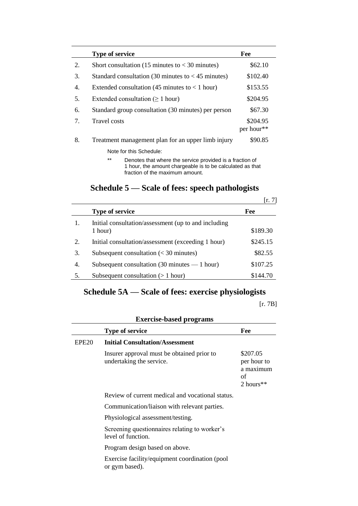|    | <b>Type of service</b>                                                                                                         | Fee                    |
|----|--------------------------------------------------------------------------------------------------------------------------------|------------------------|
| 2. | Short consultation (15 minutes to $<$ 30 minutes)                                                                              | \$62.10                |
| 3. | Standard consultation (30 minutes to $<$ 45 minutes)                                                                           | \$102.40               |
| 4. | Extended consultation (45 minutes to $<$ 1 hour)                                                                               | \$153.55               |
| 5. | Extended consultation ( $\geq 1$ hour)                                                                                         | \$204.95               |
| 6. | Standard group consultation (30 minutes) per person                                                                            | \$67.30                |
| 7. | Travel costs                                                                                                                   | \$204.95<br>per hour** |
| 8. | Treatment management plan for an upper limb injury                                                                             | \$90.85                |
|    | Note for this Schedule:                                                                                                        |                        |
|    | $***$<br>Denotes that where the service provided is a fraction of<br>1 hour, the amount chargeable is to be calculated as that |                        |

fraction of the maximum amount.

# **Schedule 5 — Scale of fees: speech pathologists**

|    |                                                                 | [r. 7]   |
|----|-----------------------------------------------------------------|----------|
|    | <b>Type of service</b>                                          | Fee      |
| 1. | Initial consultation/assessment (up to and including<br>1 hour) | \$189.30 |
| 2. | Initial consultation/assessment (exceeding 1 hour)              | \$245.15 |
| 3. | Subsequent consultation $(30 \text{ minutes})$                  | \$82.55  |
| 4. | Subsequent consultation (30 minutes $-1$ hour)                  | \$107.25 |
|    | Subsequent consultation $(> 1$ hour)                            | \$144.70 |

# **Schedule 5A — Scale of fees: exercise physiologists**

[r. 7B]

|                   | <b>Type of service</b>                                                 | Fee                                                     |
|-------------------|------------------------------------------------------------------------|---------------------------------------------------------|
| EPE <sub>20</sub> | <b>Initial Consultation/Assessment</b>                                 |                                                         |
|                   | Insurer approval must be obtained prior to<br>undertaking the service. | \$207.05<br>per hour to<br>a maximum<br>of<br>2 hours** |
|                   | Review of current medical and vocational status.                       |                                                         |
|                   | Communication/liaison with relevant parties.                           |                                                         |
|                   | Physiological assessment/testing.                                      |                                                         |
|                   | Screening questionnaires relating to worker's<br>level of function.    |                                                         |
|                   | Program design based on above.                                         |                                                         |

Exercise facility/equipment coordination (pool or gym based).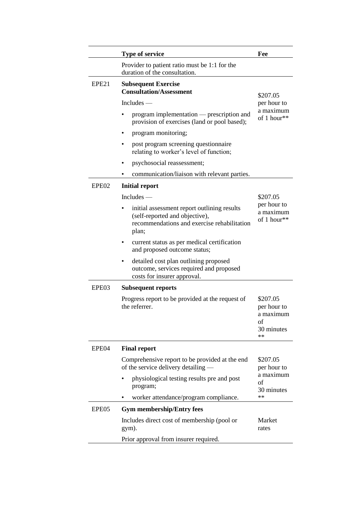|                   | <b>Type of service</b>                                                                                                                | Fee                                                            |  |
|-------------------|---------------------------------------------------------------------------------------------------------------------------------------|----------------------------------------------------------------|--|
|                   | Provider to patient ratio must be 1:1 for the<br>duration of the consultation.                                                        |                                                                |  |
| EPE21             | <b>Subsequent Exercise</b><br><b>Consultation/Assessment</b>                                                                          | \$207.05<br>per hour to                                        |  |
|                   | $Includes$ —                                                                                                                          |                                                                |  |
|                   | program implementation — prescription and<br>provision of exercises (land or pool based);                                             | a maximum<br>of 1 hour**                                       |  |
|                   | program monitoring;                                                                                                                   |                                                                |  |
|                   | post program screening questionnaire<br>relating to worker's level of function;                                                       |                                                                |  |
|                   | psychosocial reassessment;<br>٠                                                                                                       |                                                                |  |
|                   | communication/liaison with relevant parties.                                                                                          |                                                                |  |
| EPE <sub>02</sub> | <b>Initial report</b>                                                                                                                 |                                                                |  |
|                   | $Includes$ —                                                                                                                          | \$207.05                                                       |  |
|                   | initial assessment report outlining results<br>(self-reported and objective),<br>recommendations and exercise rehabilitation<br>plan; | per hour to<br>a maximum<br>of 1 hour**                        |  |
|                   | current status as per medical certification<br>٠<br>and proposed outcome status;                                                      |                                                                |  |
|                   | detailed cost plan outlining proposed<br>outcome, services required and proposed<br>costs for insurer approval.                       |                                                                |  |
| EPE03             | <b>Subsequent reports</b>                                                                                                             |                                                                |  |
|                   | Progress report to be provided at the request of<br>the referrer.                                                                     | \$207.05<br>per hour to<br>a maximum<br>οf<br>30 minutes<br>** |  |
| EPE04             | <b>Final report</b>                                                                                                                   |                                                                |  |
|                   | Comprehensive report to be provided at the end<br>of the service delivery detailing —                                                 | \$207.05<br>per hour to                                        |  |
|                   | physiological testing results pre and post<br>program;                                                                                | a maximum<br>of<br>30 minutes                                  |  |
|                   | worker attendance/program compliance.                                                                                                 | **                                                             |  |
| EPE05             | <b>Gym membership/Entry fees</b>                                                                                                      |                                                                |  |
|                   | Includes direct cost of membership (pool or<br>gym).                                                                                  | Market<br>rates                                                |  |
|                   | Prior approval from insurer required.                                                                                                 |                                                                |  |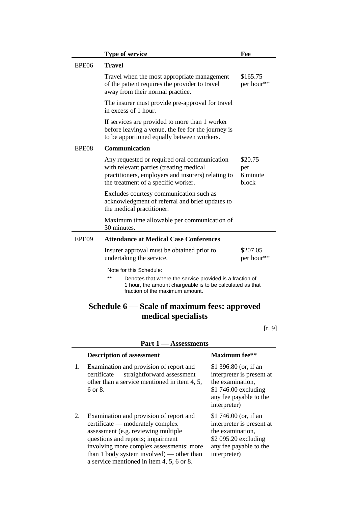|       | <b>Type of service</b>                                                                                                                                                                    | Fee                                 |
|-------|-------------------------------------------------------------------------------------------------------------------------------------------------------------------------------------------|-------------------------------------|
| EPE06 | <b>Travel</b>                                                                                                                                                                             |                                     |
|       | Travel when the most appropriate management<br>of the patient requires the provider to travel<br>away from their normal practice.                                                         | \$165.75<br>per hour**              |
|       | The insurer must provide pre-approval for travel<br>in excess of 1 hour.                                                                                                                  |                                     |
|       | If services are provided to more than 1 worker<br>before leaving a venue, the fee for the journey is<br>to be apportioned equally between workers.                                        |                                     |
| EPE08 | <b>Communication</b>                                                                                                                                                                      |                                     |
|       | Any requested or required oral communication<br>with relevant parties (treating medical<br>practitioners, employers and insurers) relating to<br>the treatment of a specific worker.      | \$20.75<br>per<br>6 minute<br>block |
|       | Excludes courtesy communication such as<br>acknowledgment of referral and brief updates to<br>the medical practitioner.                                                                   |                                     |
|       | Maximum time allowable per communication of<br>30 minutes.                                                                                                                                |                                     |
| EPE09 | <b>Attendance at Medical Case Conferences</b>                                                                                                                                             |                                     |
|       | Insurer approval must be obtained prior to<br>undertaking the service.                                                                                                                    | \$207.05<br>per hour**              |
|       | Note for this Schedule:<br>**<br>Denotes that where the service provided is a fraction of<br>1 hour, the amount chargeable is to be calculated as that<br>fraction of the maximum amount. |                                     |

## **Schedule 6 — Scale of maximum fees: approved medical specialists**

[r. 9]

|    | <b>Description of assessment</b>                                                                                                                                                                                                                                                              | <b>Maximum</b> fee**                                                                                                                     |
|----|-----------------------------------------------------------------------------------------------------------------------------------------------------------------------------------------------------------------------------------------------------------------------------------------------|------------------------------------------------------------------------------------------------------------------------------------------|
| 1. | Examination and provision of report and<br>certificate — straightforward assessment —<br>other than a service mentioned in item 4, 5,<br>$6 \text{ or } 8$ .                                                                                                                                  | \$1 396.80 (or, if an<br>interpreter is present at<br>the examination,<br>$$1746.00$ excluding<br>any fee payable to the<br>interpreter) |
| 2. | Examination and provision of report and<br>certificate — moderately complex<br>assessment (e.g. reviewing multiple<br>questions and reports; impairment<br>involving more complex assessments; more<br>than 1 body system involved) — other than<br>a service mentioned in item 4, 5, 6 or 8. | \$1 746.00 (or, if an<br>interpreter is present at<br>the examination,<br>\$2 095.20 excluding<br>any fee payable to the<br>interpreter) |

**Part 1 — Assessments**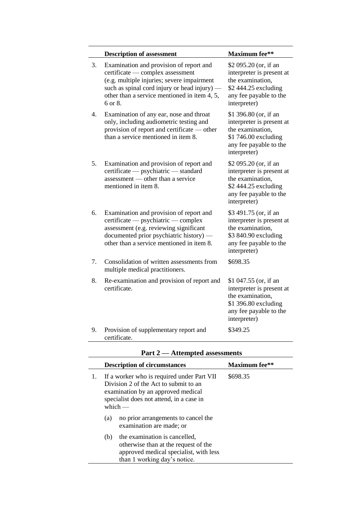|    | <b>Description of assessment</b>                                                                                                                                                                                                     | <b>Maximum</b> fee**                                                                                                                     |
|----|--------------------------------------------------------------------------------------------------------------------------------------------------------------------------------------------------------------------------------------|------------------------------------------------------------------------------------------------------------------------------------------|
| 3. | Examination and provision of report and<br>certificate — complex assessment<br>(e.g. multiple injuries; severe impairment<br>such as spinal cord injury or head injury) —<br>other than a service mentioned in item 4, 5,<br>6 or 8. | \$2 095.20 (or, if an<br>interpreter is present at<br>the examination.<br>\$2 444.25 excluding<br>any fee payable to the<br>interpreter) |
| 4. | Examination of any ear, nose and throat<br>only, including audiometric testing and<br>provision of report and certificate — other<br>than a service mentioned in item 8.                                                             | \$1 396.80 (or, if an<br>interpreter is present at<br>the examination,<br>\$1 746.00 excluding<br>any fee payable to the<br>interpreter) |
| 5. | Examination and provision of report and<br>certificate — psychiatric — standard<br>assessment — other than a service<br>mentioned in item 8.                                                                                         | \$2 095.20 (or, if an<br>interpreter is present at<br>the examination,<br>\$2 444.25 excluding<br>any fee payable to the<br>interpreter) |
| 6. | Examination and provision of report and<br>certificate — psychiatric — complex<br>assessment (e.g. reviewing significant<br>documented prior psychiatric history) -<br>other than a service mentioned in item 8.                     | \$3 491.75 (or, if an<br>interpreter is present at<br>the examination,<br>\$3 840.90 excluding<br>any fee payable to the<br>interpreter) |
| 7. | Consolidation of written assessments from<br>multiple medical practitioners.                                                                                                                                                         | \$698.35                                                                                                                                 |
| 8. | Re-examination and provision of report and<br>certificate.                                                                                                                                                                           | \$1 047.55 (or, if an<br>interpreter is present at<br>the examination,<br>\$1 396.80 excluding<br>any fee payable to the<br>interpreter) |
| 9. | Provision of supplementary report and<br>certificate.                                                                                                                                                                                | \$349.25                                                                                                                                 |

## **Part 2 — Attempted assessments**

|                                                                                                                                                                                          |     | <b>Description of circumstances</b>                                                                                                             | <b>Maximum</b> fee** |
|------------------------------------------------------------------------------------------------------------------------------------------------------------------------------------------|-----|-------------------------------------------------------------------------------------------------------------------------------------------------|----------------------|
| If a worker who is required under Part VII<br>1.<br>Division 2 of the Act to submit to an<br>examination by an approved medical<br>specialist does not attend, in a case in<br>which $-$ |     |                                                                                                                                                 | \$698.35             |
|                                                                                                                                                                                          | (a) | no prior arrangements to cancel the<br>examination are made; or                                                                                 |                      |
|                                                                                                                                                                                          | (b) | the examination is cancelled,<br>otherwise than at the request of the<br>approved medical specialist, with less<br>than 1 working day's notice. |                      |